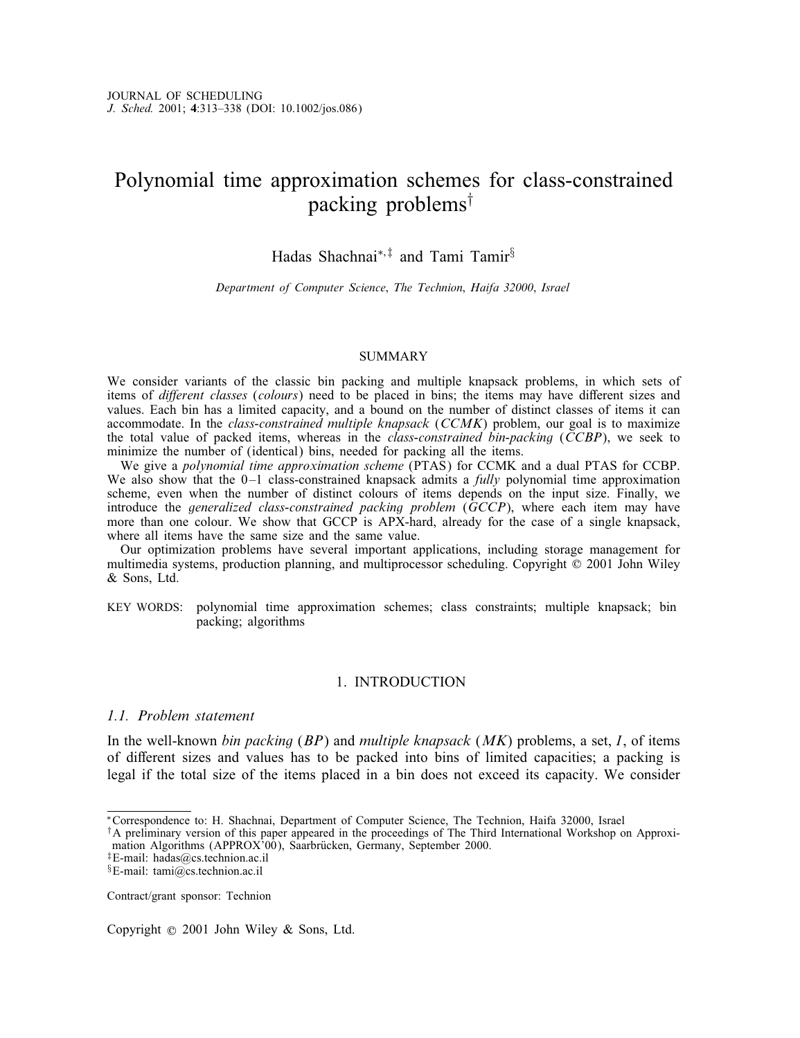# Polynomial time approximation schemes for class-constrained packing problems†

# Hadas Shachnai<sup>∗,‡</sup> and Tami Tamir<sup>§</sup>

*Department of Computer Science*; *The Technion*; *Haifa 32000*; *Israel*

#### SUMMARY

We consider variants of the classic bin packing and multiple knapsack problems, in which sets of items of *different classes* (*colours*) need to be placed in bins; the items may have different sizes and values. Each bin has a limited capacity, and a bound on the number of distinct classes of items it can accommodate. In the *class-constrained multiple knapsack* (*CCMK*) problem, our goal is to maximize the total value of packed items, whereas in the *class-constrained bin-packing* (*CCBP*), we seek to minimize the number of (identical) bins, needed for packing all the items.

We give a *polynomial time approximation scheme* (PTAS) for CCMK and a dual PTAS for CCBP. We also show that the 0-1 class-constrained knapsack admits a *fully* polynomial time approximation scheme, even when the number of distinct colours of items depends on the input size. Finally, we introduce the *generalized class-constrained packing problem* (*GCCP*), where each item may have more than one colour. We show that GCCP is APX-hard, already for the case of a single knapsack, where all items have the same size and the same value.

Our optimization problems have several important applications, including storage management for multimedia systems, production planning, and multiprocessor scheduling. Copyright © 2001 John Wiley & Sons, Ltd.

KEY WORDS: polynomial time approximation schemes; class constraints; multiple knapsack; bin packing; algorithms

#### 1. INTRODUCTION

# *1.1. Problem statement*

In the well-known *bin packing* (*BP*) and *multiple knapsack* (*MK*) problems, a set, I, of items of different sizes and values has to be packed into bins of limited capacities; a packing is legal if the total size of the items placed in a bin does not exceed its capacity. We consider

Contract/grant sponsor: Technion

Copyright  $© 2001$  John Wiley & Sons, Ltd.

<sup>∗</sup>Correspondence to: H. Shachnai, Department of Computer Science, The Technion, Haifa 32000, Israel

<sup>†</sup>A preliminary version of this paper appeared in the proceedings of The Third International Workshop on Approximation Algorithms (APPROX'00), Saarbrücken, Germany, September 2000.

<sup>‡</sup>E-mail: hadas@cs.technion.ac.il

<sup>§</sup>E-mail: tami@cs.technion.ac.il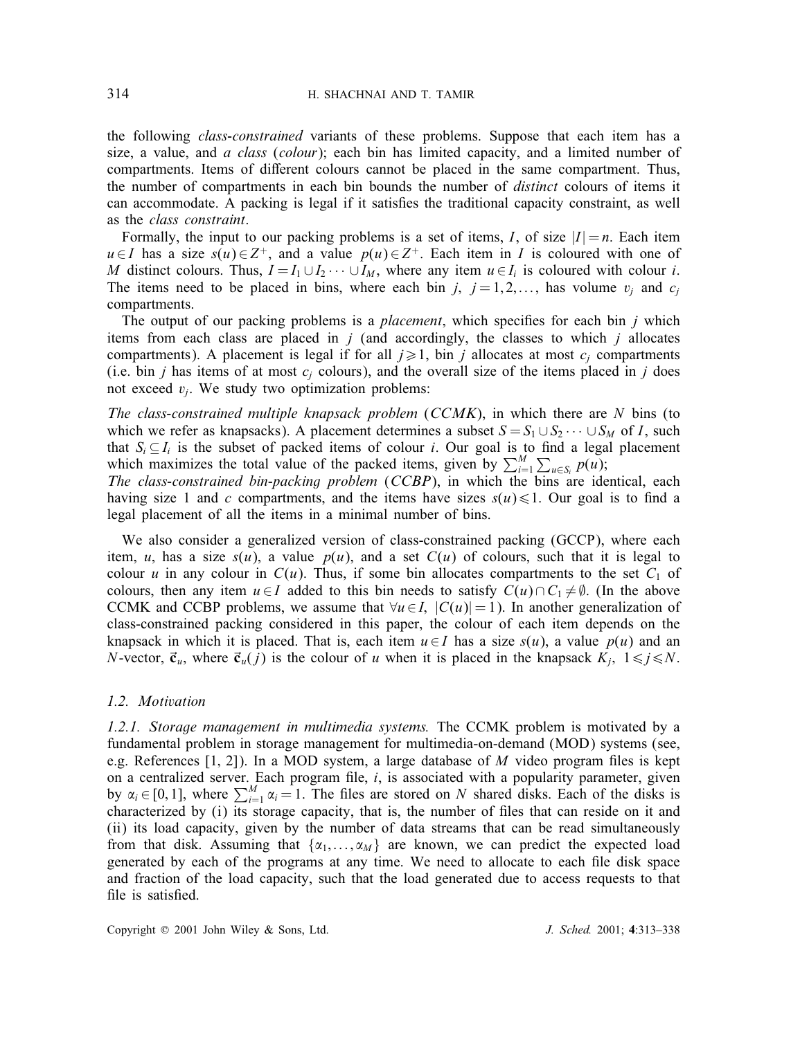the following *class-constrained* variants of these problems. Suppose that each item has a size, a value, and *a class* (*colour*); each bin has limited capacity, and a limited number of compartments. Items of different colours cannot be placed in the same compartment. Thus, the number of compartments in each bin bounds the number of *distinct* colours of items it can accommodate. A packing is legal if it satisFes the traditional capacity constraint, as well as the *class constraint*.

Formally, the input to our packing problems is a set of items, I, of size  $|I| = n$ . Each item  $u \in I$  has a size  $s(u) \in Z^+$ , and a value  $p(u) \in Z^+$ . Each item in I is coloured with one of M distinct colours. Thus,  $I = I_1 \cup I_2 \cdots \cup I_M$ , where any item  $u \in I_i$  is coloured with colour i. The items need to be placed in bins, where each bin j,  $j = 1, 2, \ldots$ , has volume  $v_i$  and  $c_i$ compartments.

The output of our packing problems is a *placement*, which specifies for each bin j which items from each class are placed in  $j$  (and accordingly, the classes to which  $j$  allocates compartments). A placement is legal if for all  $j \ge 1$ , bin j allocates at most  $c_j$  compartments (i.e. bin j has items of at most  $c_i$  colours), and the overall size of the items placed in j does not exceed  $v_i$ . We study two optimization problems:

*The class-constrained multiple knapsack problem* (*CCMK*), in which there are N bins (to which we refer as knapsacks). A placement determines a subset  $S = S_1 \cup S_2 \cdots \cup S_M$  of I, such that  $S_i \subseteq I_i$  is the subset of packed items of colour *i*. Our goal is to find a legal placement which maximizes the total value of the packed items, given by  $\sum_{i=1}^{M} \sum_{u \in S_i} p(u)$ ;

*The class-constrained bin-packing problem* (*CCBP*), in which the bins are identical, each having size 1 and c compartments, and the items have sizes  $s(u) \le 1$ . Our goal is to find a legal placement of all the items in a minimal number of bins.

We also consider a generalized version of class-constrained packing (GCCP), where each item, u, has a size  $s(u)$ , a value  $p(u)$ , and a set  $C(u)$  of colours, such that it is legal to colour u in any colour in  $C(u)$ . Thus, if some bin allocates compartments to the set  $C_1$  of colours, then any item  $u \in I$  added to this bin needs to satisfy  $C(u) \cap C_1 \neq \emptyset$ . (In the above CCMK and CCBP problems, we assume that  $\forall u \in I$ ,  $|C(u)| = 1$ ). In another generalization of class-constrained packing considered in this paper, the colour of each item depends on the knapsack in which it is placed. That is, each item  $u \in I$  has a size  $s(u)$ , a value  $p(u)$  and an N-vector,  $\vec{\mathbf{c}}_u$ , where  $\vec{\mathbf{c}}_u(j)$  is the colour of u when it is placed in the knapsack  $K_i$ ,  $1 \leq j \leq N$ .

#### *1.2. Motivation*

*1.2.1. Storage management in multimedia systems.* The CCMK problem is motivated by a fundamental problem in storage management for multimedia-on-demand (MOD) systems (see, e.g. References  $[1, 2]$ ). In a MOD system, a large database of M video program files is kept on a centralized server. Each program file,  $i$ , is associated with a popularity parameter, given by  $\alpha_i \in [0, 1]$ , where  $\sum_{i=1}^{M} \alpha_i = 1$ . The files are stored on N shared disks. Each of the disks is characterized by (i) its storage capacity, that is, the number of files that can reside on it and (ii) its load capacity, given by the number of data streams that can be read simultaneously from that disk. Assuming that  $\{\alpha_1,\ldots,\alpha_M\}$  are known, we can predict the expected load generated by each of the programs at any time. We need to allocate to each Fle disk space and fraction of the load capacity, such that the load generated due to access requests to that file is satisfied.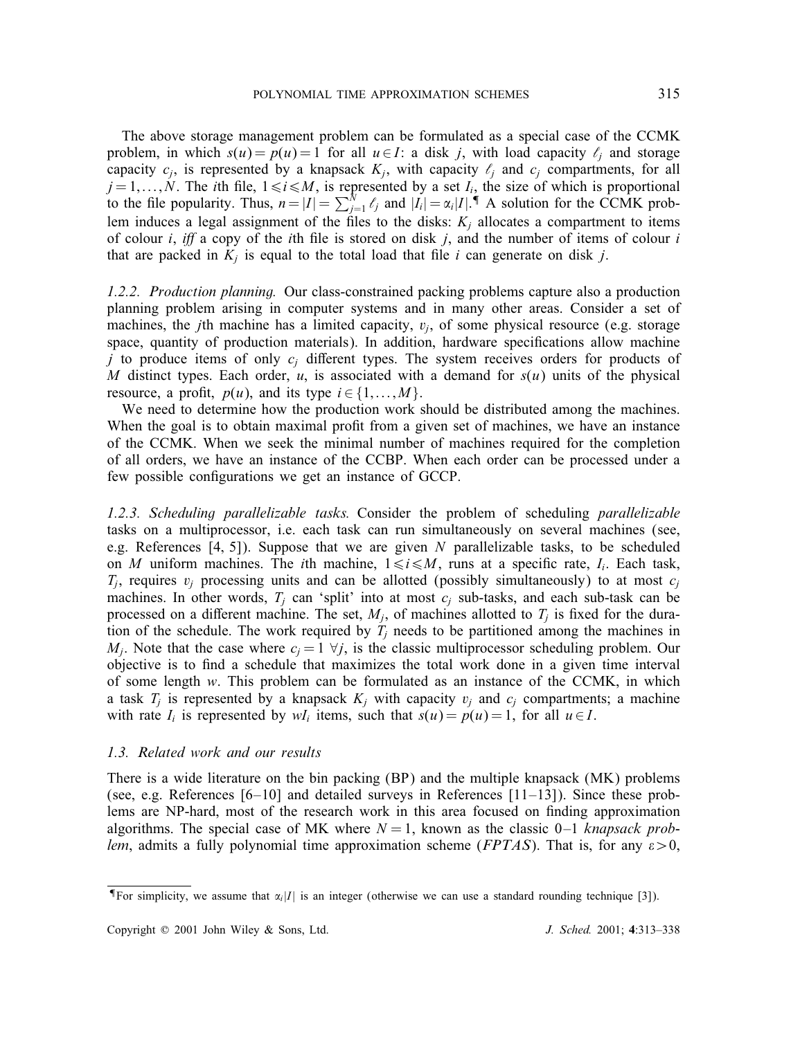The above storage management problem can be formulated as a special case of the CCMK problem, in which  $s(u) = p(u) = 1$  for all  $u \in I$ : a disk *i*, with load capacity  $\ell_i$  and storage capacity  $c_j$ , is represented by a knapsack  $K_j$ , with capacity  $\ell_j$  and  $c_j$  compartments, for all  $j = 1,...,N$ . The *i*th file,  $1 \le i \le M$ , is represented by a set  $I_i$ , the size of which is proportional to the file popularity. Thus,  $n = |I| = \sum_{j=1}^{N} \ell_j$  and  $|I_i| = \alpha_i |I|$ . A solution for the CCMK problem induces a legal assignment of the files to the disks:  $K_i$  allocates a compartment to items of colour *i*, *iff* a copy of the *i*th file is stored on disk  $j$ , and the number of items of colour  $i$ that are packed in  $K_i$  is equal to the total load that file i can generate on disk j.

*1.2.2. Production planning.* Our class-constrained packing problems capture also a production planning problem arising in computer systems and in many other areas. Consider a set of machines, the *j*th machine has a limited capacity,  $v_i$ , of some physical resource (e.g. storage space, quantity of production materials). In addition, hardware specifications allow machine *j* to produce items of only  $c_i$  different types. The system receives orders for products of M distinct types. Each order, u, is associated with a demand for  $s(u)$  units of the physical resource, a profit,  $p(u)$ , and its type  $i \in \{1,...,M\}$ .

We need to determine how the production work should be distributed among the machines. When the goal is to obtain maximal profit from a given set of machines, we have an instance of the CCMK. When we seek the minimal number of machines required for the completion of all orders, we have an instance of the CCBP. When each order can be processed under a few possible configurations we get an instance of GCCP.

*1.2.3. Scheduling parallelizable tasks.* Consider the problem of scheduling *parallelizable* tasks on a multiprocessor, i.e. each task can run simultaneously on several machines (see, e.g. References  $[4, 5]$ ). Suppose that we are given N parallelizable tasks, to be scheduled on M uniform machines. The *i*th machine,  $1 \le i \le M$ , runs at a specific rate,  $I_i$ . Each task,  $T_i$ , requires  $v_i$  processing units and can be allotted (possibly simultaneously) to at most  $c_i$ machines. In other words,  $T_i$  can 'split' into at most  $c_i$  sub-tasks, and each sub-task can be processed on a different machine. The set,  $M_i$ , of machines allotted to  $T_i$  is fixed for the duration of the schedule. The work required by  $T_i$  needs to be partitioned among the machines in  $M_i$ . Note that the case where  $c_i = 1 \forall j$ , is the classic multiprocessor scheduling problem. Our objective is to Fnd a schedule that maximizes the total work done in a given time interval of some length w. This problem can be formulated as an instance of the CCMK, in which a task  $T_j$  is represented by a knapsack  $K_j$  with capacity  $v_j$  and  $c_j$  compartments; a machine with rate  $I_i$  is represented by wI<sub>i</sub> items, such that  $s(u) = p(u) = 1$ , for all  $u \in I$ .

# *1.3. Related work and our results*

There is a wide literature on the bin packing (BP) and the multiple knapsack (MK) problems (see, e.g. References  $[6-10]$  and detailed surveys in References  $[11-13]$ ). Since these problems are NP-hard, most of the research work in this area focused on Fnding approximation algorithms. The special case of MK where  $N = 1$ , known as the classic  $0-1$  *knapsack problem*, admits a fully polynomial time approximation scheme (*FPTAS*). That is, for any  $\varepsilon > 0$ ,

**The simplicity, we assume that**  $\alpha_i|I|$  **is an integer (otherwise we can use a standard rounding technique [3]).**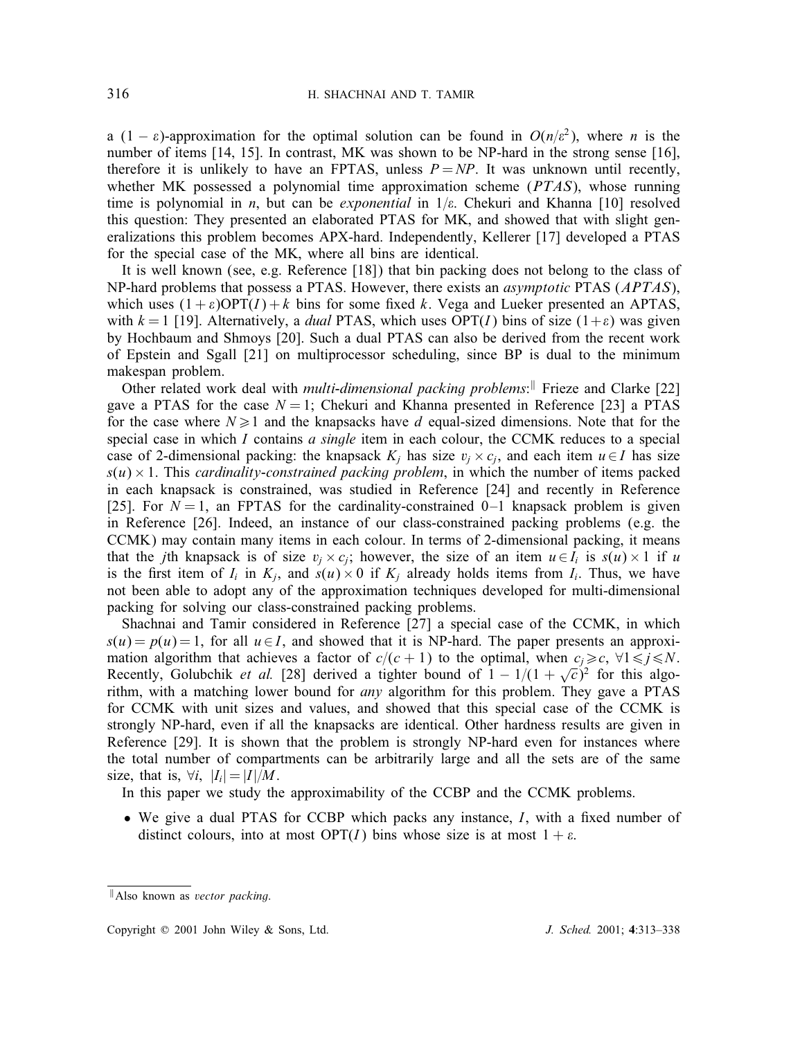a (1 −  $\varepsilon$ )-approximation for the optimal solution can be found in  $O(n/\varepsilon^2)$ , where n is the number of items [14, 15]. In contrast, MK was shown to be NP-hard in the strong sense [16], therefore it is unlikely to have an FPTAS, unless  $P = NP$ . It was unknown until recently, whether MK possessed a polynomial time approximation scheme (*PTAS*), whose running time is polynomial in *n*, but can be *exponential* in  $1/\varepsilon$ . Chekuri and Khanna [10] resolved this question: They presented an elaborated PTAS for MK, and showed that with slight generalizations this problem becomes APX-hard. Independently, Kellerer [17] developed a PTAS for the special case of the MK, where all bins are identical.

It is well known (see, e.g. Reference [18]) that bin packing does not belong to the class of NP-hard problems that possess a PTAS. However, there exists an *asymptotic* PTAS (*APTAS*), which uses  $(1 + \varepsilon)OPT(I) + k$  bins for some fixed k. Vega and Lueker presented an APTAS, with  $k = 1$  [19]. Alternatively, a *dual* PTAS, which uses OPT(I) bins of size (1+ $\varepsilon$ ) was given by Hochbaum and Shmoys [20]. Such a dual PTAS can also be derived from the recent work of Epstein and Sgall  $[21]$  on multiprocessor scheduling, since BP is dual to the minimum makespan problem.

Other related work deal with *multi-dimensional packing problems*: Frieze and Clarke [22] gave a PTAS for the case  $N = 1$ ; Chekuri and Khanna presented in Reference [23] a PTAS for the case where  $N \ge 1$  and the knapsacks have d equal-sized dimensions. Note that for the special case in which I contains *a single* item in each colour, the CCMK reduces to a special case of 2-dimensional packing: the knapsack K<sub>i</sub> has size  $v_i \times c_j$ , and each item  $u \in I$  has size  $s(u) \times 1$ . This *cardinality-constrained packing problem*, in which the number of items packed in each knapsack is constrained, was studied in Reference [24] and recently in Reference [25]. For  $N = 1$ , an FPTAS for the cardinality-constrained 0–1 knapsack problem is given in Reference [26]. Indeed, an instance of our class-constrained packing problems (e.g. the CCMK) may contain many items in each colour. In terms of 2-dimensional packing, it means that the jth knapsack is of size  $v_i \times c_j$ ; however, the size of an item  $u \in I_i$  is  $s(u) \times 1$  if u is the first item of  $I_i$  in  $K_j$ , and  $s(u) \times 0$  if  $K_j$  already holds items from  $I_i$ . Thus, we have not been able to adopt any of the approximation techniques developed for multi-dimensional packing for solving our class-constrained packing problems.

Shachnai and Tamir considered in Reference [27] a special case of the CCMK, in which  $s(u) = p(u) = 1$ , for all  $u \in I$ , and showed that it is NP-hard. The paper presents an approximation algorithm that achieves a factor of  $c/(c + 1)$  to the optimal, when  $c_i \geq c$ ,  $\forall 1 \leq i \leq N$ . Recently, Golubchik *et al.* [28] derived a tighter bound of  $1 - 1/(1 + \sqrt{c})^2$  for this algorithm, with a matching lower bound for *any* algorithm for this problem. They gave a PTAS for CCMK with unit sizes and values, and showed that this special case of the CCMK is strongly NP-hard, even if all the knapsacks are identical. Other hardness results are given in Reference [29]. It is shown that the problem is strongly NP-hard even for instances where the total number of compartments can be arbitrarily large and all the sets are of the same size, that is,  $\forall i, |I_i| = |I|/M$ .

In this paper we study the approximability of the CCBP and the CCMK problems.

• We give a dual PTAS for CCBP which packs any instance, I, with a fixed number of distinct colours, into at most OPT(I) bins whose size is at most  $1 + \varepsilon$ .

Also known as *vector packing*.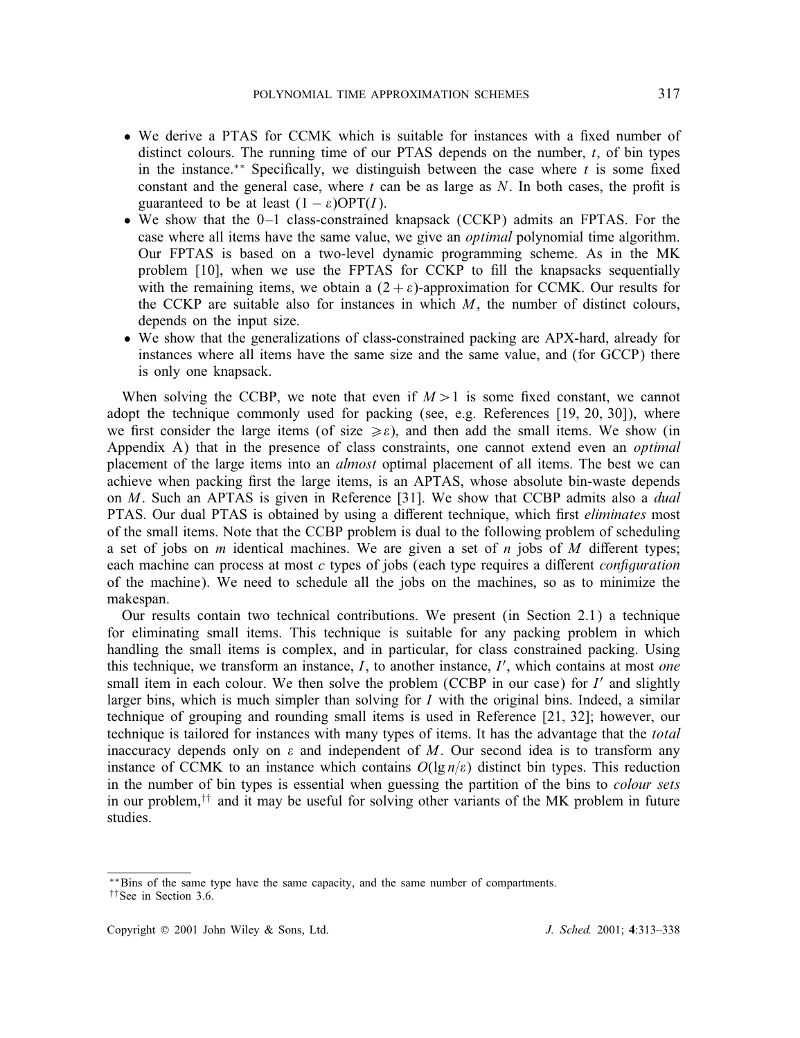- We derive a PTAS for CCMK which is suitable for instances with a fixed number of distinct colours. The running time of our PTAS depends on the number,  $t$ , of bin types in the instance.<sup>∗∗</sup> Specifically, we distinguish between the case where t is some fixed constant and the general case, where  $t$  can be as large as  $N$ . In both cases, the profit is guaranteed to be at least  $(1 - \varepsilon)$ OPT $(I)$ .
- We show that the 0–1 class-constrained knapsack (CCKP) admits an FPTAS. For the case where all items have the same value, we give an *optimal* polynomial time algorithm. Our FPTAS is based on a two-level dynamic programming scheme. As in the MK problem [10], when we use the FPTAS for CCKP to fill the knapsacks sequentially with the remaining items, we obtain a  $(2 + \varepsilon)$ -approximation for CCMK. Our results for the CCKP are suitable also for instances in which  $M$ , the number of distinct colours, depends on the input size.
- We show that the generalizations of class-constrained packing are APX-hard, already for instances where all items have the same size and the same value, and (for GCCP) there is only one knapsack.

When solving the CCBP, we note that even if  $M>1$  is some fixed constant, we cannot adopt the technique commonly used for packing (see, e.g. References [19, 20, 30]), where we first consider the large items (of size  $\geq \varepsilon$ ), and then add the small items. We show (in Appendix A) that in the presence of class constraints, one cannot extend even an *optimal* placement of the large items into an *almost* optimal placement of all items. The best we can achieve when packing Frst the large items, is an APTAS, whose absolute bin-waste depends on M. Such an APTAS is given in Reference [31]. We show that CCBP admits also a *dual* PTAS. Our dual PTAS is obtained by using a different technique, which first *eliminates* most of the small items. Note that the CCBP problem is dual to the following problem of scheduling a set of jobs on m identical machines. We are given a set of n jobs of  $M$  different types; each machine can process at most c types of jobs (each type requires a different *configuration* of the machine). We need to schedule all the jobs on the machines, so as to minimize the makespan.

Our results contain two technical contributions. We present (in Section 2.1) a technique for eliminating small items. This technique is suitable for any packing problem in which handling the small items is complex, and in particular, for class constrained packing. Using this technique, we transform an instance, I, to another instance, I , which contains at most *one* small item in each colour. We then solve the problem (CCBP in our case) for  $I'$  and slightly larger bins, which is much simpler than solving for  $I$  with the original bins. Indeed, a similar technique of grouping and rounding small items is used in Reference [21; 32]; however, our technique is tailored for instances with many types of items. It has the advantage that the *total* inaccuracy depends only on  $\varepsilon$  and independent of M. Our second idea is to transform any instance of CCMK to an instance which contains  $O(\frac{\lg n}{\epsilon})$  distinct bin types. This reduction in the number of bin types is essential when guessing the partition of the bins to *colour sets* in our problem,<sup>††</sup> and it may be useful for solving other variants of the MK problem in future studies.

<sup>∗∗</sup>Bins of the same type have the same capacity, and the same number of compartments.

<sup>††</sup>See in Section 3.6.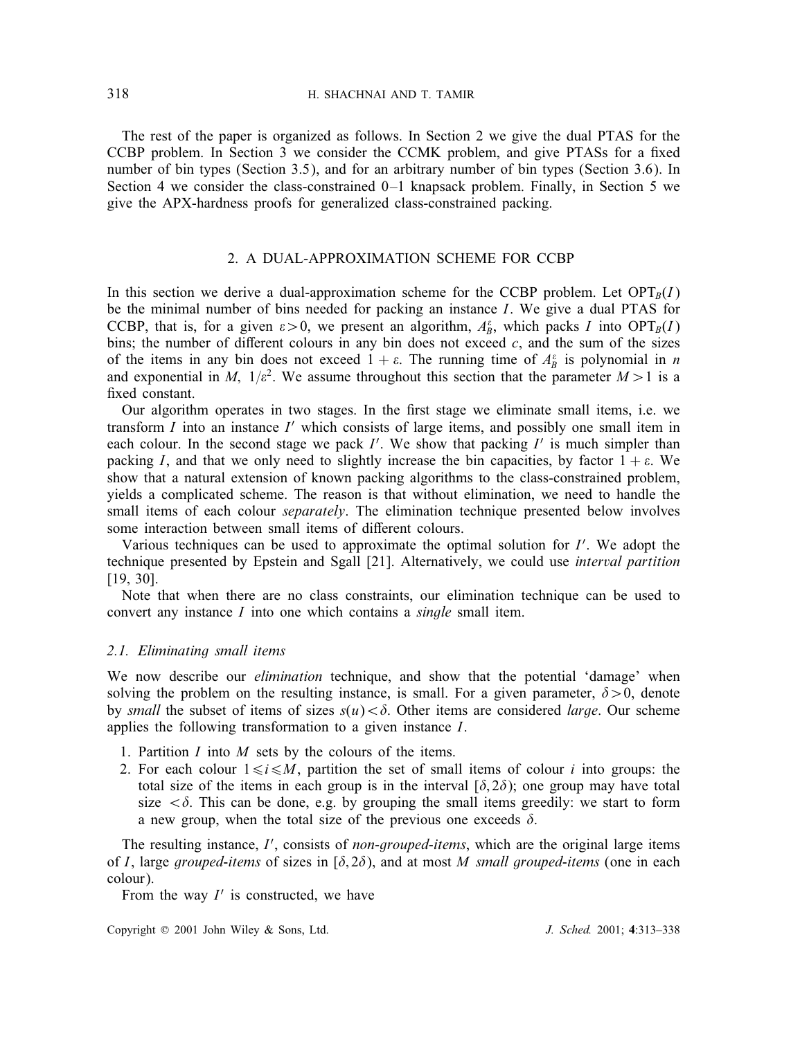The rest of the paper is organized as follows. In Section 2 we give the dual PTAS for the CCBP problem. In Section 3 we consider the CCMK problem, and give PTASs for a fixed number of bin types (Section 3.5), and for an arbitrary number of bin types (Section 3.6). In Section 4 we consider the class-constrained 0–1 knapsack problem. Finally, in Section 5 we give the APX-hardness proofs for generalized class-constrained packing.

#### 2. A DUAL-APPROXIMATION SCHEME FOR CCBP

In this section we derive a dual-approximation scheme for the CCBP problem. Let  $\text{OPT}_B(I)$ be the minimal number of bins needed for packing an instance I. We give a dual PTAS for CCBP, that is, for a given  $\varepsilon > 0$ , we present an algorithm,  $A_{B}^{\varepsilon}$ , which packs I into  $\text{OPT}_B(I)$ bins; the number of different colours in any bin does not exceed  $c$ , and the sum of the sizes of the items in any bin does not exceed  $1 + \varepsilon$ . The running time of  $A_B^{\varepsilon}$  is polynomial in n and exponential in M;  $1/\varepsilon^2$ . We assume throughout this section that the parameter  $M>1$  is a fixed constant.

Our algorithm operates in two stages. In the Frst stage we eliminate small items, i.e. we transform  $I$  into an instance  $I'$  which consists of large items, and possibly one small item in each colour. In the second stage we pack  $I'$ . We show that packing  $I'$  is much simpler than packing I, and that we only need to slightly increase the bin capacities, by factor  $1 + \varepsilon$ . We show that a natural extension of known packing algorithms to the class-constrained problem, yields a complicated scheme. The reason is that without elimination, we need to handle the small items of each colour *separately*. The elimination technique presented below involves some interaction between small items of different colours.

Various techniques can be used to approximate the optimal solution for I . We adopt the technique presented by Epstein and Sgall [21]. Alternatively, we could use *interval partition* [19; 30].

Note that when there are no class constraints, our elimination technique can be used to convert any instance I into one which contains a *single* small item.

#### *2.1. Eliminating small items*

We now describe our *elimination* technique, and show that the potential 'damage' when solving the problem on the resulting instance, is small. For a given parameter,  $\delta > 0$ , denote by *small* the subset of items of sizes  $s(u) < \delta$ . Other items are considered *large*. Our scheme applies the following transformation to a given instance I.

- 1. Partition  $I$  into  $M$  sets by the colours of the items.
- 2. For each colour  $1 \le i \le M$ , partition the set of small items of colour i into groups: the total size of the items in each group is in the interval  $[\delta, 2\delta)$ ; one group may have total size  $\langle \delta$ . This can be done, e.g. by grouping the small items greedily: we start to form a new group, when the total size of the previous one exceeds  $\delta$ .

The resulting instance, I', consists of *non-grouped-items*, which are the original large items of I, large *grouped-items* of sizes in  $[\delta, 2\delta)$ , and at most M *small grouped-items* (one in each colour).

From the way  $I'$  is constructed, we have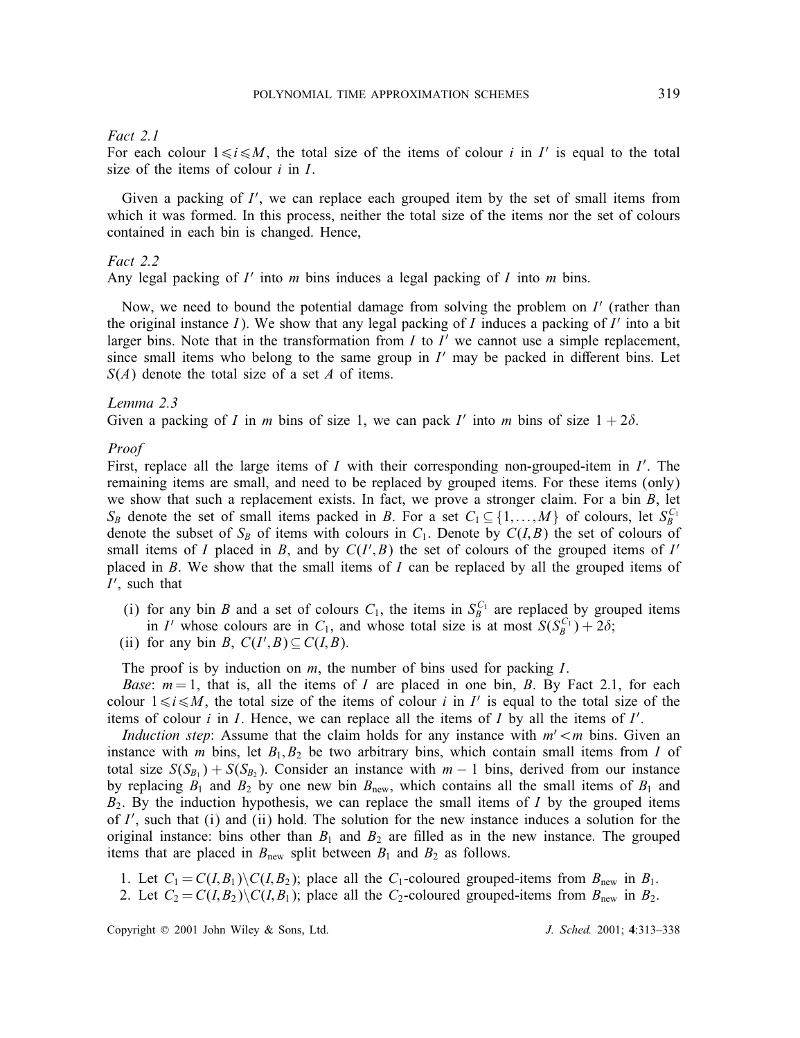### *Fact 2.1*

For each colour  $1 \le i \le M$ , the total size of the items of colour i in I' is equal to the total size of the items of colour  $i$  in  $I$ .

Given a packing of I', we can replace each grouped item by the set of small items from which it was formed. In this process, neither the total size of the items nor the set of colours contained in each bin is changed. Hence,

# *Fact 2.2*

Any legal packing of  $I'$  into  $m$  bins induces a legal packing of  $I$  into  $m$  bins.

Now, we need to bound the potential damage from solving the problem on  $I'$  (rather than the original instance I). We show that any legal packing of I induces a packing of  $I'$  into a bit larger bins. Note that in the transformation from  $I$  to  $I'$  we cannot use a simple replacement, since small items who belong to the same group in  $I'$  may be packed in different bins. Let  $S(A)$  denote the total size of a set A of items.

# *Lemma 2.3*

Given a packing of I in m bins of size 1, we can pack I' into m bins of size  $1 + 2\delta$ .

#### *Proof*

First, replace all the large items of  $I$  with their corresponding non-grouped-item in  $I'$ . The remaining items are small, and need to be replaced by grouped items. For these items (only) we show that such a replacement exists. In fact, we prove a stronger claim. For a bin  $B$ , let  $S_B$  denote the set of small items packed in B. For a set  $C_1 \subseteq \{1, \ldots, M\}$  of colours, let  $S_B^{C_1}$ denote the subset of  $S_B$  of items with colours in  $C_1$ . Denote by  $C(I, B)$  the set of colours of small items of I placed in B, and by  $C(I', B)$  the set of colours of the grouped items of I' placed in B. We show that the small items of  $I$  can be replaced by all the grouped items of I , such that

- (i) for any bin B and a set of colours  $C_1$ , the items in  $S_B^{C_1}$  are replaced by grouped items in I' whose colours are in  $C_1$ , and whose total size is at most  $S(S_B^{C_1}) + 2\delta$ ;
- (ii) for any bin B,  $C(I', B) \subseteq C(I, B)$ .

The proof is by induction on  $m$ , the number of bins used for packing  $I$ .

*Base*:  $m = 1$ , that is, all the items of I are placed in one bin, B. By Fact 2.1, for each colour  $1 \le i \le M$ , the total size of the items of colour i in I' is equal to the total size of the items of colour i in I. Hence, we can replace all the items of I by all the items of  $I'$ .

*Induction step*: Assume that the claim holds for any instance with  $m' < m$  bins. Given an instance with m bins, let  $B_1, B_2$  be two arbitrary bins, which contain small items from I of total size  $S(S_{\beta_1}) + S(S_{\beta_2})$ . Consider an instance with  $m - 1$  bins, derived from our instance by replacing  $B_1$  and  $B_2$  by one new bin  $B_{\text{new}}$ , which contains all the small items of  $B_1$  and  $B_2$ . By the induction hypothesis, we can replace the small items of I by the grouped items of  $I'$ , such that (i) and (ii) hold. The solution for the new instance induces a solution for the original instance: bins other than  $B_1$  and  $B_2$  are filled as in the new instance. The grouped items that are placed in  $B_{\text{new}}$  split between  $B_1$  and  $B_2$  as follows.

1. Let  $C_1 = C(I, B_1) \setminus C(I, B_2)$ ; place all the C<sub>1</sub>-coloured grouped-items from  $B_{\text{new}}$  in  $B_1$ . 2. Let  $C_2 = C(I, B_2) \setminus C(I, B_1)$ ; place all the  $C_2$ -coloured grouped-items from  $B_{new}$  in  $B_2$ .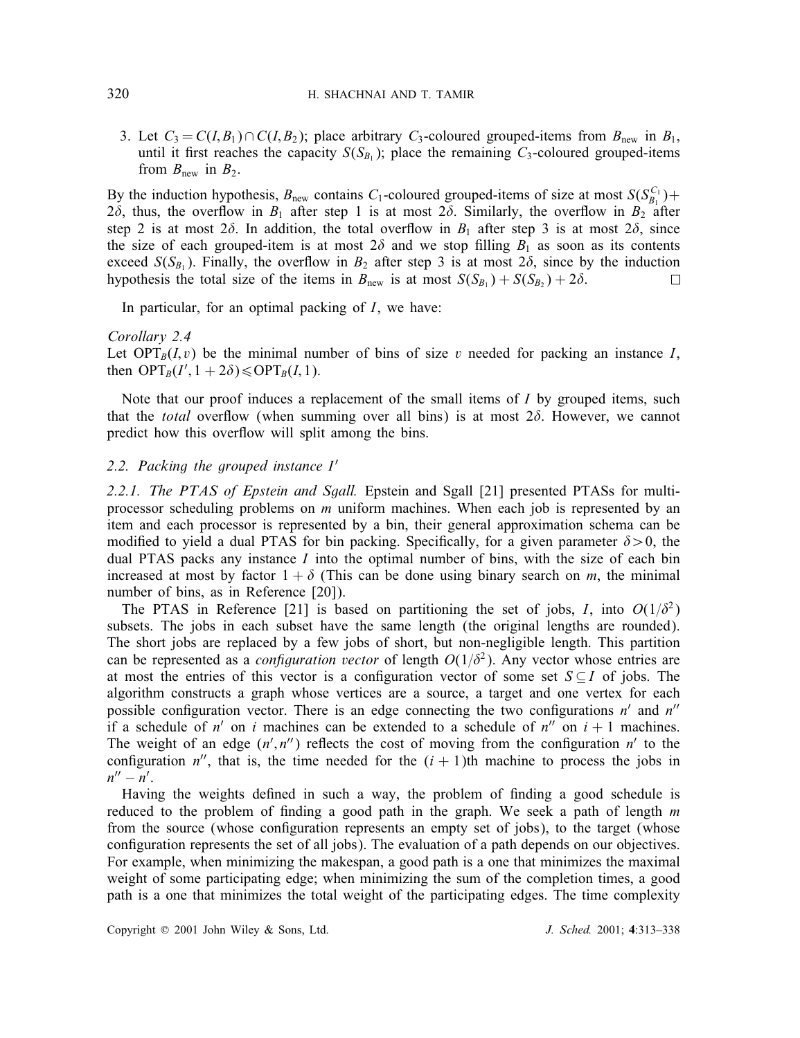3. Let  $C_3 = C(I, B_1) \cap C(I, B_2)$ ; place arbitrary  $C_3$ -coloured grouped-items from  $B_{\text{new}}$  in  $B_1$ , until it first reaches the capacity  $S(S_B)$ ; place the remaining C<sub>3</sub>-coloured grouped-items from  $B_{\text{new}}$  in  $B_2$ .

By the induction hypothesis,  $B_{\text{new}}$  contains  $C_1$ -coloured grouped-items of size at most  $S(S_{B_1}^{C_1})$ +  $2\delta$ , thus, the overflow in  $B_1$  after step 1 is at most  $2\delta$ . Similarly, the overflow in  $B_2$  after step 2 is at most  $2\delta$ . In addition, the total overflow in  $B_1$  after step 3 is at most  $2\delta$ , since the size of each grouped-item is at most  $2\delta$  and we stop filling  $B_1$  as soon as its contents exceed  $S(S_{B_1})$ . Finally, the overflow in  $B_2$  after step 3 is at most 2 $\delta$ , since by the induction hypothesis the total size of the items in  $B_{\text{new}}$  is at most  $S(S_{B_1}) + S(S_{B_2}) + 2\delta$ .  $\Box$ 

In particular, for an optimal packing of  $I$ , we have:

# *Corollary 2.4*

Let  $\text{OPT}_B(I, v)$  be the minimal number of bins of size v needed for packing an instance I, then  $\text{OPT}_B(I', 1 + 2\delta) \leq \text{OPT}_B(I, 1)$ .

Note that our proof induces a replacement of the small items of  $I$  by grouped items, such that the *total* overflow (when summing over all bins) is at most  $2\delta$ . However, we cannot predict how this overflow will split among the bins.

# *2.2. Packing the grouped instance* I

*2.2.1. The PTAS of Epstein and Sgall.* Epstein and Sgall [21] presented PTASs for multiprocessor scheduling problems on m uniform machines. When each job is represented by an item and each processor is represented by a bin, their general approximation schema can be modified to yield a dual PTAS for bin packing. Specifically, for a given parameter  $\delta > 0$ , the dual PTAS packs any instance  $I$  into the optimal number of bins, with the size of each bin increased at most by factor  $1 + \delta$  (This can be done using binary search on m, the minimal number of bins, as in Reference [20]).

The PTAS in Reference [21] is based on partitioning the set of jobs, I, into  $O(1/\delta^2)$ subsets. The jobs in each subset have the same length (the original lengths are rounded). The short jobs are replaced by a few jobs of short, but non-negligible length. This partition can be represented as a *configuration vector* of length  $O(1/\delta^2)$ . Any vector whose entries are at most the entries of this vector is a configuration vector of some set  $S \subseteq I$  of jobs. The algorithm constructs a graph whose vertices are a source, a target and one vertex for each possible configuration vector. There is an edge connecting the two configurations  $n'$  and  $n''$ if a schedule of n' on i machines can be extended to a schedule of  $n''$  on  $i + 1$  machines. The weight of an edge  $(n', n'')$  reflects the cost of moving from the configuration n' to the configuration  $n''$ , that is, the time needed for the  $(i + 1)$ th machine to process the jobs in  $n'' - n'$ .

Having the weights deFned in such a way, the problem of Fnding a good schedule is reduced to the problem of finding a good path in the graph. We seek a path of length  $m$ from the source (whose configuration represents an empty set of jobs), to the target (whose configuration represents the set of all jobs). The evaluation of a path depends on our objectives. For example, when minimizing the makespan, a good path is a one that minimizes the maximal weight of some participating edge; when minimizing the sum of the completion times, a good path is a one that minimizes the total weight of the participating edges. The time complexity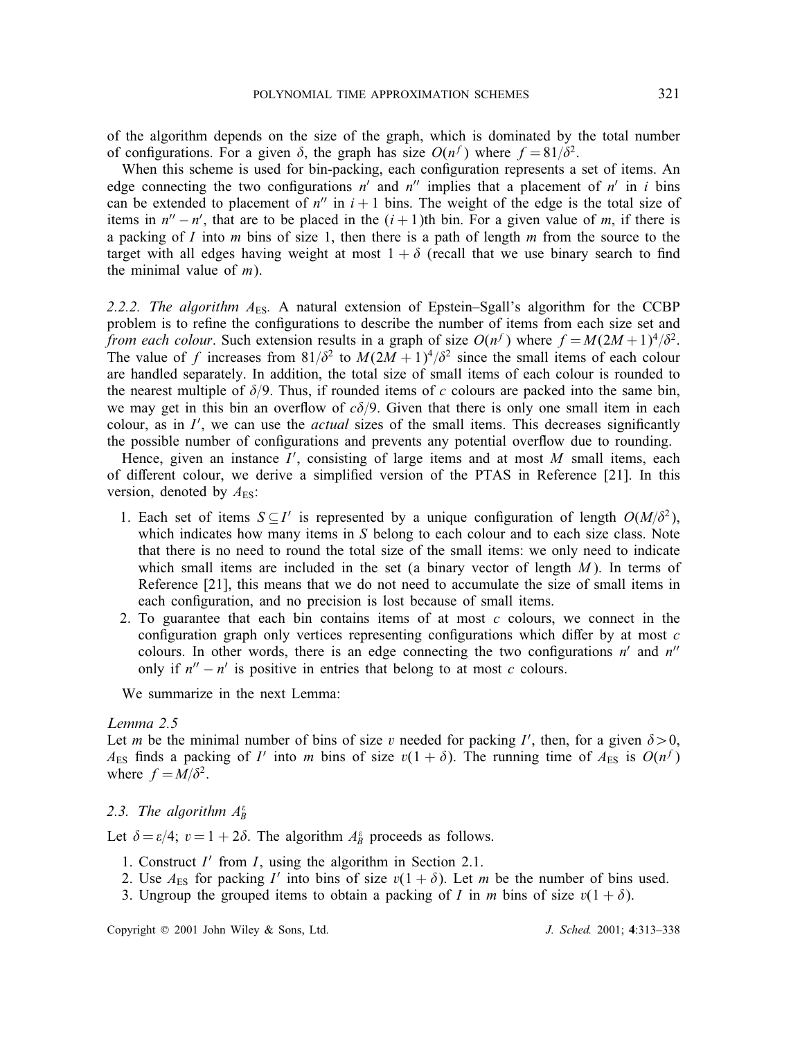of the algorithm depends on the size of the graph, which is dominated by the total number of configurations. For a given  $\delta$ , the graph has size  $O(n^f)$  where  $f = 81/\delta^2$ .

When this scheme is used for bin-packing, each configuration represents a set of items. An edge connecting the two configurations n' and n'' implies that a placement of n' in i bins can be extended to placement of  $n''$  in  $i + 1$  bins. The weight of the edge is the total size of items in  $n'' - n'$ , that are to be placed in the  $(i + 1)$ th bin. For a given value of m, if there is a packing of I into  $m$  bins of size 1, then there is a path of length  $m$  from the source to the target with all edges having weight at most  $1 + \delta$  (recall that we use binary search to find the minimal value of  $m$ ).

2.2.2. The algorithm  $A_{ES}$ . A natural extension of Epstein–Sgall's algorithm for the CCBP problem is to refine the configurations to describe the number of items from each size set and *from each colour.* Such extension results in a graph of size  $O(n^f)$  where  $f = M(2M + 1)^4/\delta^2$ . The value of f increases from  $81/\delta^2$  to  $M(2M + 1)^4/\delta^2$  since the small items of each colour are handled separately. In addition, the total size of small items of each colour is rounded to the nearest multiple of  $\delta/9$ . Thus, if rounded items of c colours are packed into the same bin, we may get in this bin an overflow of  $c\delta/9$ . Given that there is only one small item in each colour, as in I', we can use the *actual* sizes of the small items. This decreases significantly the possible number of configurations and prevents any potential overflow due to rounding.

Hence, given an instance  $I'$ , consisting of large items and at most  $M$  small items, each of different colour, we derive a simplified version of the PTAS in Reference [21]. In this version, denoted by  $A_{FS}$ :

- 1. Each set of items  $S \subseteq I'$  is represented by a unique configuration of length  $O(M/\delta^2)$ , which indicates how many items in  $S$  belong to each colour and to each size class. Note that there is no need to round the total size of the small items: we only need to indicate which small items are included in the set (a binary vector of length  $M$ ). In terms of Reference [21], this means that we do not need to accumulate the size of small items in each configuration, and no precision is lost because of small items.
- 2. To guarantee that each bin contains items of at most  $c$  colours, we connect in the configuration graph only vertices representing configurations which differ by at most  $c$ colours. In other words, there is an edge connecting the two configurations  $n'$  and  $n''$ only if  $n'' - n'$  is positive in entries that belong to at most c colours.

We summarize in the next Lemma:

# *Lemma 2.5*

Let *m* be the minimal number of bins of size *v* needed for packing I', then, for a given  $\delta > 0$ ,  $A_{ES}$  finds a packing of I' into m bins of size  $v(1 + \delta)$ . The running time of  $A_{ES}$  is  $O(n^f)$ where  $f = M/\delta^2$ .

# *2.3. The algorithm* A B

Let  $\delta = \varepsilon/4$ ;  $v = 1 + 2\delta$ . The algorithm  $A_B^{\varepsilon}$  proceeds as follows.

- 1. Construct  $I'$  from  $I$ , using the algorithm in Section 2.1.
- 2. Use  $A_{ES}$  for packing I' into bins of size  $v(1 + \delta)$ . Let m be the number of bins used.
- 3. Ungroup the grouped items to obtain a packing of I in m bins of size  $v(1 + \delta)$ .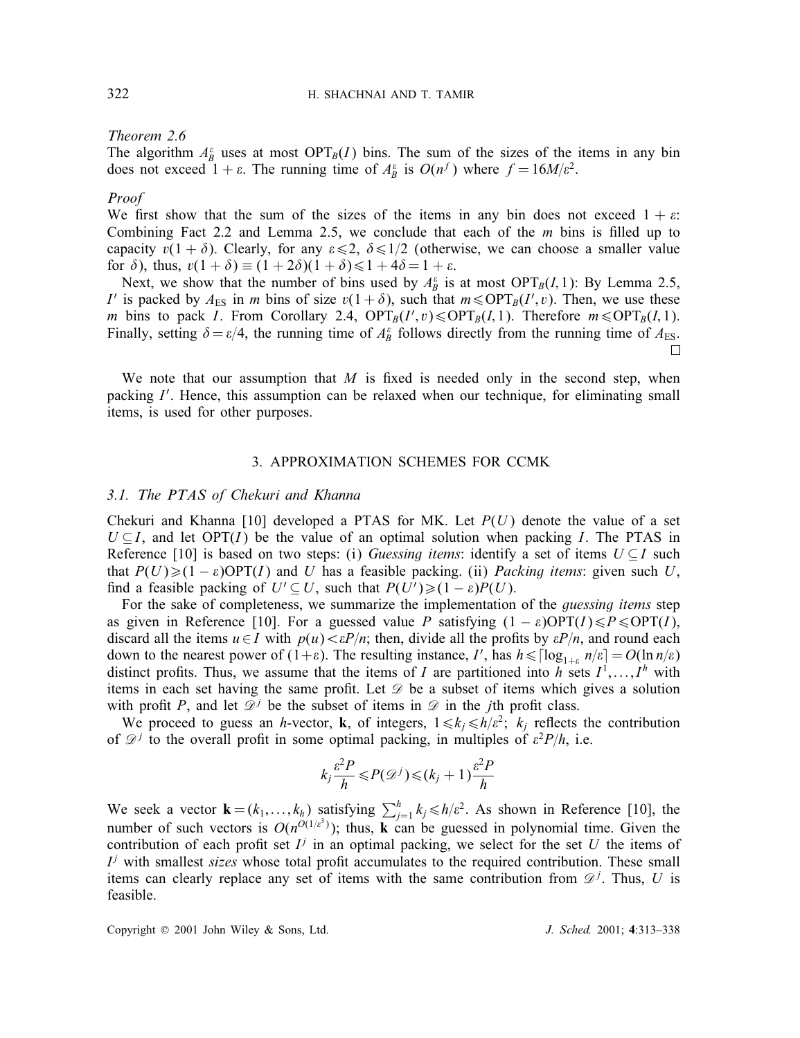*Theorem 2.6*

The algorithm  $A_B^{\varepsilon}$  uses at most  $\text{OPT}_B(I)$  bins. The sum of the sizes of the items in any bin does not exceed  $1 + \varepsilon$ . The running time of  $A_B^{\varepsilon}$  is  $O(n^f)$  where  $f = 16M/\varepsilon^2$ .

#### *Proof*

We first show that the sum of the sizes of the items in any bin does not exceed  $1 + \varepsilon$ . Combining Fact 2.2 and Lemma 2.5, we conclude that each of the  $m$  bins is filled up to capacity  $v(1 + \delta)$ . Clearly, for any  $\varepsilon \le 2$ ,  $\delta \le 1/2$  (otherwise, we can choose a smaller value for  $\delta$ ), thus,  $v(1 + \delta) \equiv (1 + 2\delta)(1 + \delta) \leq 1 + 4\delta = 1 + \varepsilon$ .

Next, we show that the number of bins used by  $A_B^{\varepsilon}$  is at most  $\text{OPT}_B(I,1)$ : By Lemma 2.5, I' is packed by  $A_{ES}$  in m bins of size  $v(1+\delta)$ , such that  $m \le \text{OPT}_B(I', v)$ . Then, we use these m bins to pack I. From Corollary 2.4,  $OPT_B(I', v) \le OPT_B(I, 1)$ . Therefore  $m \le OPT_B(I, 1)$ . Finally, setting  $\delta = \varepsilon/4$ , the running time of  $A_B^{\varepsilon}$  follows directly from the running time of  $A_{ES}$ .

We note that our assumption that  $M$  is fixed is needed only in the second step, when packing I'. Hence, this assumption can be relaxed when our technique, for eliminating small items, is used for other purposes.

# 3. APPROXIMATION SCHEMES FOR CCMK

# *3.1. The PTAS of Chekuri and Khanna*

Chekuri and Khanna [10] developed a PTAS for MK. Let  $P(U)$  denote the value of a set  $U \subseteq I$ , and let OPT(I) be the value of an optimal solution when packing I. The PTAS in Reference [10] is based on two steps: (i) *Guessing items*: identify a set of items  $U \subseteq I$  such that  $P(U) \geq (1 - \varepsilon) \text{OPT}(I)$  and U has a feasible packing. (ii) *Packing items*: given such U, find a feasible packing of  $U' \subseteq U$ , such that  $P(U') \geq (1 - \varepsilon)P(U)$ .

For the sake of completeness, we summarize the implementation of the *guessing items* step as given in Reference [10]. For a guessed value P satisfying  $(1 - \varepsilon) \text{OPT}(I) \leq P \leq \text{OPT}(I)$ , discard all the items  $u \in I$  with  $p(u) < \varepsilon P/n$ ; then, divide all the profits by  $\varepsilon P/n$ , and round each down to the nearest power of  $(1+\varepsilon)$ . The resulting instance, I', has  $h \leq \lceil \log_{1+\varepsilon} n/\varepsilon \rceil = O(\ln n/\varepsilon)$ distinct profits. Thus, we assume that the items of I are partitioned into h sets  $I^1, \ldots, I^h$  with items in each set having the same profit. Let  $\mathscr D$  be a subset of items which gives a solution with profit P, and let  $\mathscr{D}^j$  be the subset of items in  $\mathscr{D}$  in the *j*th profit class.

We proceed to guess an h-vector, **k**, of integers,  $1 \le k_j \le h/e^2$ ;  $k_j$  reflects the contribution of  $\mathscr{D}^j$  to the overall profit in some optimal packing, in multiples of  $\epsilon^2 P/h$ , i.e.

$$
k_j \frac{\varepsilon^2 P}{h} \le P(\mathcal{D}^j) \le (k_j + 1) \frac{\varepsilon^2 P}{h}
$$

We seek a vector  $\mathbf{k} = (k_1,...,k_h)$  satisfying  $\sum_{j=1}^h k_j \leq h/\varepsilon^2$ . As shown in Reference [10], the number of such vectors is  $O(n^{O(1/\varepsilon^3)})$ ; thus, **k** can be guessed in polynomial time. Given the contribution of each profit set  $I^j$  in an optimal packing, we select for the set U the items of  $I<sup>j</sup>$  with smallest *sizes* whose total profit accumulates to the required contribution. These small items can clearly replace any set of items with the same contribution from  $\mathcal{D}^j$ . Thus, U is feasible.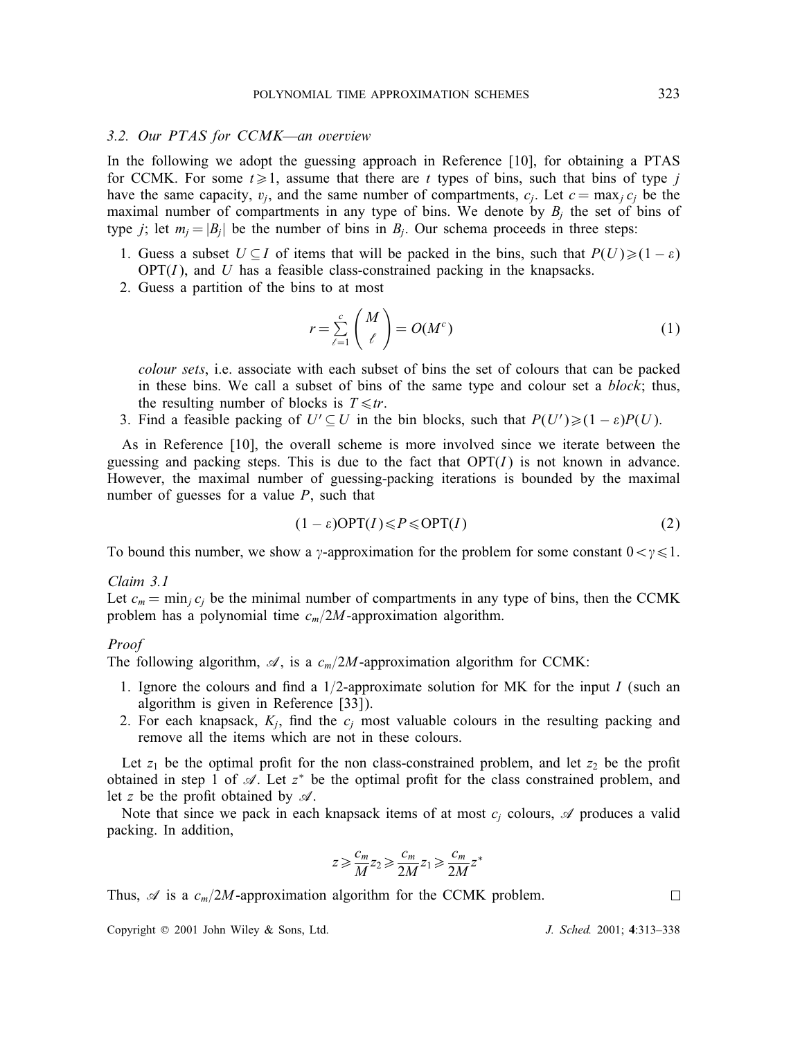# *3.2. Our PTAS for CCMK—an overview*

In the following we adopt the guessing approach in Reference [10], for obtaining a PTAS for CCMK. For some  $t \ge 1$ , assume that there are t types of bins, such that bins of type j have the same capacity,  $v_i$ , and the same number of compartments,  $c_i$ . Let  $c = \max_i c_i$  be the maximal number of compartments in any type of bins. We denote by  $B_i$  the set of bins of type *i*; let  $m_i = |B_i|$  be the number of bins in  $B_i$ . Our schema proceeds in three steps:

- 1. Guess a subset  $U ⊆ I$  of items that will be packed in the bins, such that  $P(U) \geq (1 \varepsilon)$  $OPT(I)$ , and U has a feasible class-constrained packing in the knapsacks.
- 2. Guess a partition of the bins to at most

$$
r = \sum_{\ell=1}^{c} \binom{M}{\ell} = O(M^c) \tag{1}
$$

*colour sets*, i.e. associate with each subset of bins the set of colours that can be packed in these bins. We call a subset of bins of the same type and colour set a *block*; thus, the resulting number of blocks is  $T \leq tr$ .

3. Find a feasible packing of  $U' \subseteq U$  in the bin blocks, such that  $P(U') \geq (1 - \varepsilon)P(U)$ .

As in Reference [10], the overall scheme is more involved since we iterate between the guessing and packing steps. This is due to the fact that  $OPT(I)$  is not known in advance. However, the maximal number of guessing-packing iterations is bounded by the maximal number of guesses for a value  $P$ , such that

$$
(1 - \varepsilon) \text{OPT}(I) \leq P \leq \text{OPT}(I) \tag{2}
$$

To bound this number, we show a y-approximation for the problem for some constant  $0 < \gamma \leq 1$ .

#### *Claim 3.1*

Let  $c_m = \min_i c_i$  be the minimal number of compartments in any type of bins, then the CCMK problem has a polynomial time  $c_m/2M$ -approximation algorithm.

# *Proof*

The following algorithm,  $\mathcal{A}$ , is a  $c_m/2M$ -approximation algorithm for CCMK:

- 1. Ignore the colours and find a  $1/2$ -approximate solution for MK for the input I (such an algorithm is given in Reference [33]).
- 2. For each knapsack,  $K_i$ , find the  $c_i$  most valuable colours in the resulting packing and remove all the items which are not in these colours.

Let  $z_1$  be the optimal profit for the non class-constrained problem, and let  $z_2$  be the profit obtained in step 1 of  $\mathcal A$ . Let  $z^*$  be the optimal profit for the class constrained problem, and let z be the profit obtained by  $\mathscr A$ .

Note that since we pack in each knapsack items of at most  $c_i$  colours,  $\mathscr A$  produces a valid packing. In addition,

$$
z \geqslant \frac{c_m}{M} z_2 \geqslant \frac{c_m}{2M} z_1 \geqslant \frac{c_m}{2M} z^*
$$

Thus,  $\mathscr A$  is a  $c_m/2M$ -approximation algorithm for the CCMK problem.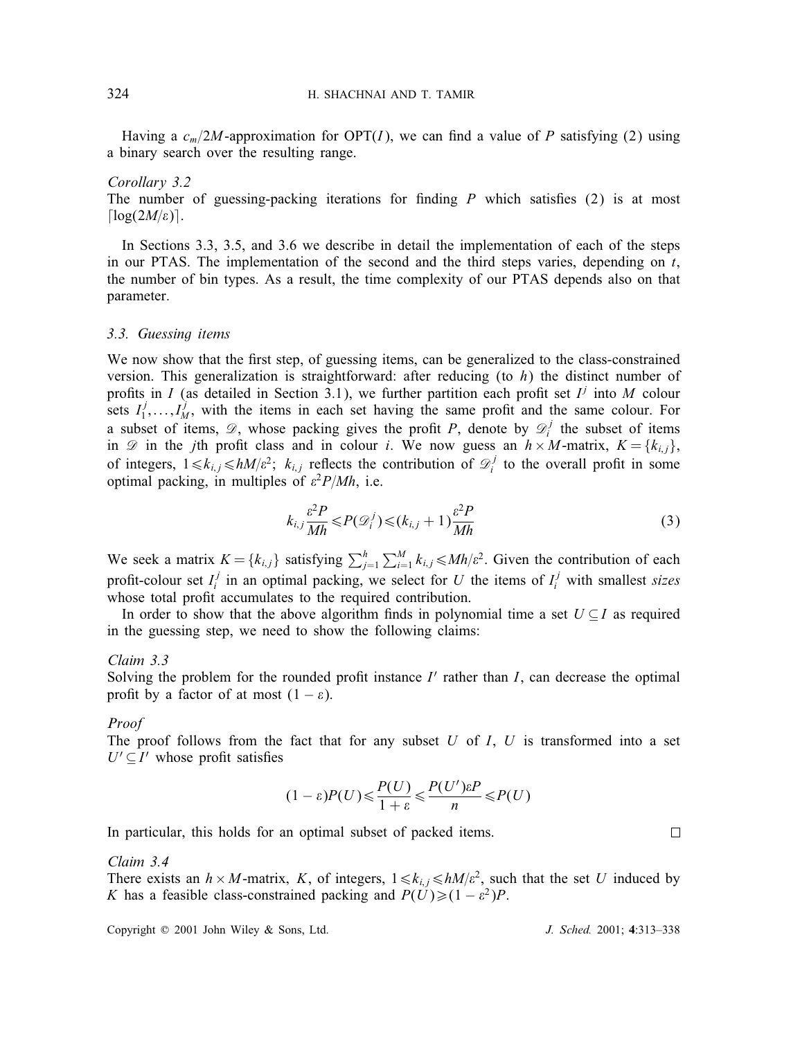Having a  $c_m/2M$ -approximation for OPT(I), we can find a value of P satisfying (2) using a binary search over the resulting range.

#### *Corollary 3.2*

The number of guessing-packing iterations for finding  $P$  which satisfies (2) is at most  $\lceil \log(2M/\varepsilon) \rceil$ .

In Sections 3.3, 3.5, and 3.6 we describe in detail the implementation of each of the steps in our PTAS. The implementation of the second and the third steps varies, depending on  $t$ , the number of bin types. As a result, the time complexity of our PTAS depends also on that parameter.

#### *3.3. Guessing items*

We now show that the first step, of guessing items, can be generalized to the class-constrained version. This generalization is straightforward: after reducing (to  $h$ ) the distinct number of profits in I (as detailed in Section 3.1), we further partition each profit set  $I^j$  into M colour sets  $I_1^j, \ldots, I_M^j$ , with the items in each set having the same profit and the same colour. For a subset of items,  $\mathcal{D}$ , whose packing gives the profit P, denote by  $\mathcal{D}_i^j$  the subset of items in  $\mathscr D$  in the jth profit class and in colour i. We now guess an  $h \times M$ -matrix,  $K = \{k_{i,j}\},$ of integers,  $1 \le k_{i,j} \le hM/\varepsilon^2$ ;  $k_{i,j}$  reflects the contribution of  $\mathscr{D}_i^j$  to the overall profit in some optimal packing, in multiples of  $\varepsilon^2 P/Mh$ , i.e.

$$
k_{i,j}\frac{\varepsilon^2 P}{Mh} \leq P(\mathcal{D}_i^j) \leq (k_{i,j} + 1)\frac{\varepsilon^2 P}{Mh}
$$
\n<sup>(3)</sup>

We seek a matrix  $K = \{k_{i,j}\}\$  satisfying  $\sum_{j=1}^{h} \sum_{i=1}^{M} k_{i,j} \leq Mh/\varepsilon^2$ . Given the contribution of each profit-colour set  $I_i^j$  in an optimal packing, we select for U the items of  $I_i^j$  with smallest *sizes* whose total profit accumulates to the required contribution.

In order to show that the above algorithm finds in polynomial time a set  $U \subseteq I$  as required in the guessing step, we need to show the following claims:

#### *Claim 3.3*

Solving the problem for the rounded profit instance  $I'$  rather than  $I$ , can decrease the optimal profit by a factor of at most  $(1 - \varepsilon)$ .

# *Proof*

The proof follows from the fact that for any subset U of I, U is transformed into a set  $U' \subseteq I'$  whose profit satisfies

$$
(1 - \varepsilon)P(U) \leq \frac{P(U)}{1 + \varepsilon} \leq \frac{P(U')\varepsilon P}{n} \leq P(U)
$$

In particular, this holds for an optimal subset of packed items.

#### *Claim 3.4*

There exists an  $h \times M$ -matrix, K, of integers,  $1 \le k_{i,j} \le hM/\varepsilon^2$ , such that the set U induced by K has a feasible class-constrained packing and  $P(U) \ge (1 - \varepsilon^2)P$ .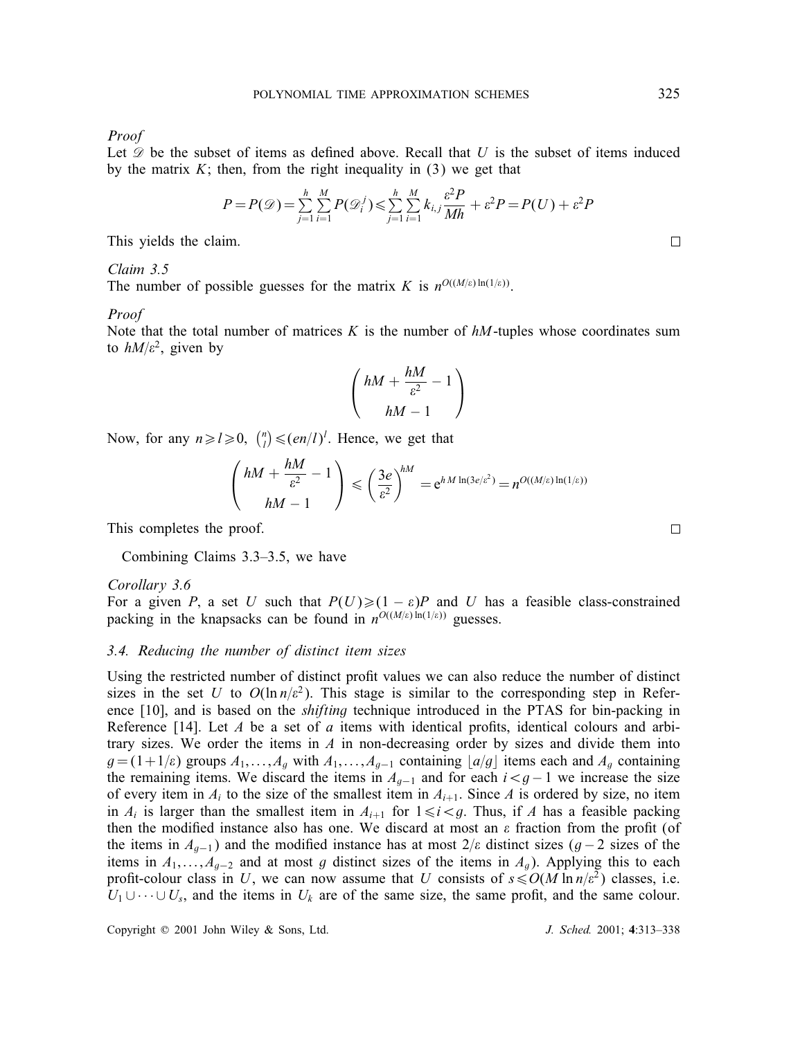*Proof*

Let  $\mathscr D$  be the subset of items as defined above. Recall that U is the subset of items induced by the matrix  $K$ ; then, from the right inequality in (3) we get that

$$
P = P(\mathcal{D}) = \sum_{j=1}^{h} \sum_{i=1}^{M} P(\mathcal{D}_{i}^{j}) \leq \sum_{j=1}^{h} \sum_{i=1}^{M} k_{i,j} \frac{\varepsilon^{2} P}{M h} + \varepsilon^{2} P = P(U) + \varepsilon^{2} P
$$

This yields the claim.

#### *Claim 3.5*

The number of possible guesses for the matrix K is  $n^{O((M/\varepsilon)\ln(1/\varepsilon))}$ .

#### *Proof*

Note that the total number of matrices K is the number of  $hM$ -tuples whose coordinates sum to  $hM/\varepsilon^2$ , given by

$$
\left(\frac{hM+\frac{hM}{\varepsilon^2}-1}{hM-1}\right)
$$

Now, for any  $n \ge l \ge 0$ ,  $\binom{n}{l} \le (en/l)^l$ . Hence, we get that

$$
\binom{hM+\frac{hM}{\varepsilon^2}-1}{hM-1}\leqslant \left(\frac{3e}{\varepsilon^2}\right)^{hM}=e^{hM\ln(3e/\varepsilon^2)}=n^{O((M/\varepsilon)\ln(1/\varepsilon))}
$$

This completes the proof.

Combining Claims 3.3–3.5, we have

*Corollary 3.6*

For a given P, a set U such that  $P(U) \geq (1 - \varepsilon)P$  and U has a feasible class-constrained packing in the knapsacks can be found in  $n^{O((M/\varepsilon)\ln(1/\varepsilon))}$  guesses.

# *3.4. Reducing the number of distinct item sizes*

Using the restricted number of distinct profit values we can also reduce the number of distinct sizes in the set U to  $O(\ln n/\varepsilon^2)$ . This stage is similar to the corresponding step in Reference [10], and is based on the *shifting* technique introduced in the PTAS for bin-packing in Reference [14]. Let A be a set of a items with identical profits, identical colours and arbitrary sizes. We order the items in  $\Lambda$  in non-decreasing order by sizes and divide them into  $g = (1+1/\varepsilon)$  groups  $A_1, ..., A_g$  with  $A_1, ..., A_{g-1}$  containing  $\lfloor a/g \rfloor$  items each and  $A_g$  containing the remaining items. We discard the items in  $A_{q-1}$  and for each  $i < g-1$  we increase the size of every item in  $A_i$  to the size of the smallest item in  $A_{i+1}$ . Since A is ordered by size, no item in  $A_i$  is larger than the smallest item in  $A_{i+1}$  for  $1 \leq i < g$ . Thus, if A has a feasible packing then the modified instance also has one. We discard at most an  $\varepsilon$  fraction from the profit (of the items in  $A_{q-1}$ ) and the modified instance has at most  $2/\varepsilon$  distinct sizes (g − 2 sizes of the items in  $A_1, \ldots, A_{q-2}$  and at most g distinct sizes of the items in  $A_q$ ). Applying this to each profit-colour class in U, we can now assume that U consists of  $s \leq O(M \ln n/\varepsilon^2)$  classes, i.e.  $U_1 \cup \cdots \cup U_s$ , and the items in  $U_k$  are of the same size, the same profit, and the same colour.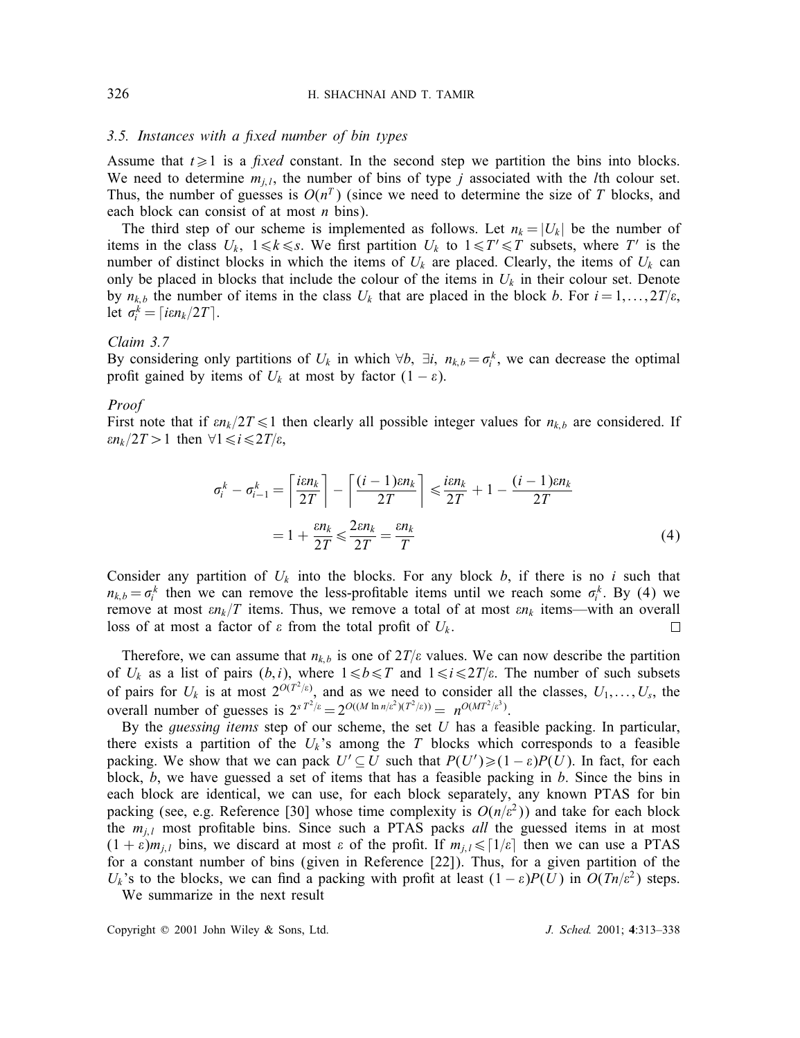## *3.5. Instances with a /xed number of bin types*

Assume that  $t \geq 1$  is a *fixed* constant. In the second step we partition the bins into blocks. We need to determine  $m_{j,l}$ , the number of bins of type j associated with the *l*th colour set. Thus, the number of guesses is  $O(n^T)$  (since we need to determine the size of T blocks, and each block can consist of at most  $n$  bins).

The third step of our scheme is implemented as follows. Let  $n_k = |U_k|$  be the number of items in the class  $U_k$ ,  $1 \le k \le s$ . We first partition  $U_k$  to  $1 \le T' \le T$  subsets, where T' is the number of distinct blocks in which the items of  $U_k$  are placed. Clearly, the items of  $U_k$  can only be placed in blocks that include the colour of the items in  $U_k$  in their colour set. Denote by  $n_{k,b}$  the number of items in the class  $U_k$  that are placed in the block b. For  $i = 1, \ldots, 2T/\varepsilon$ , let  $\sigma_i^k = \lceil i \varepsilon n_k / 2T \rceil$ .

#### *Claim 3.7*

By considering only partitions of  $U_k$  in which  $\forall b, \exists i, n_{k,b} = \sigma_i^k$ , we can decrease the optimal profit gained by items of  $U_k$  at most by factor  $(1 - \varepsilon)$ .

### *Proof*

First note that if  $\epsilon n_k/2T \leq 1$  then clearly all possible integer values for  $n_{k,b}$  are considered. If  $\epsilon n_k / 2T > 1$  then  $\forall 1 \le i \le 2T/\epsilon$ ,

$$
\sigma_i^k - \sigma_{i-1}^k = \left\lceil \frac{i \varepsilon n_k}{2T} \right\rceil - \left\lceil \frac{(i-1)\varepsilon n_k}{2T} \right\rceil \le \frac{i \varepsilon n_k}{2T} + 1 - \frac{(i-1)\varepsilon n_k}{2T}
$$

$$
= 1 + \frac{\varepsilon n_k}{2T} \le \frac{2\varepsilon n_k}{2T} = \frac{\varepsilon n_k}{T}
$$
(4)

Consider any partition of  $U_k$  into the blocks. For any block b, if there is no i such that  $n_{k,b} = \sigma_i^k$  then we can remove the less-profitable items until we reach some  $\sigma_i^k$ . By (4) we remove at most  $\epsilon n_k/T$  items. Thus, we remove a total of at most  $\epsilon n_k$  items—with an overall loss of at most a factor of  $\varepsilon$  from the total profit of  $U_k$ .  $\Box$ 

Therefore, we can assume that  $n_{k,b}$  is one of  $2T/\varepsilon$  values. We can now describe the partition of  $U_k$  as a list of pairs  $(b, i)$ , where  $1 \le b \le T$  and  $1 \le i \le 2T/\varepsilon$ . The number of such subsets of pairs for  $U_k$  is at most  $2^{O(T^2/k)}$ , and as we need to consider all the classes,  $U_1, \ldots, U_s$ , the overall number of guesses is  $2^{sT^2/\varepsilon} = 2^{O((M \ln n/\varepsilon^2)(T^2/\varepsilon))} = n^{O(MT^2/\varepsilon^3)}$ .

By the *guessing items* step of our scheme, the set U has a feasible packing. In particular, there exists a partition of the  $U_k$ 's among the T blocks which corresponds to a feasible packing. We show that we can pack  $U' \subseteq U$  such that  $P(U') \geq (1 - \varepsilon)P(U)$ . In fact, for each block, b, we have guessed a set of items that has a feasible packing in b. Since the bins in each block are identical, we can use, for each block separately, any known PTAS for bin packing (see, e.g. Reference [30] whose time complexity is  $O(n/\varepsilon^2)$ ) and take for each block the  $m_{i,l}$  most profitable bins. Since such a PTAS packs *all* the guessed items in at most  $(1 + \varepsilon)m_{i,l}$  bins, we discard at most  $\varepsilon$  of the profit. If  $m_{i,l} \leq 1/\varepsilon$  then we can use a PTAS for a constant number of bins (given in Reference [22]). Thus, for a given partition of the  $U_k$ 's to the blocks, we can find a packing with profit at least  $(1 - \varepsilon)P(U)$  in  $O(Tn/\varepsilon^2)$  steps.

We summarize in the next result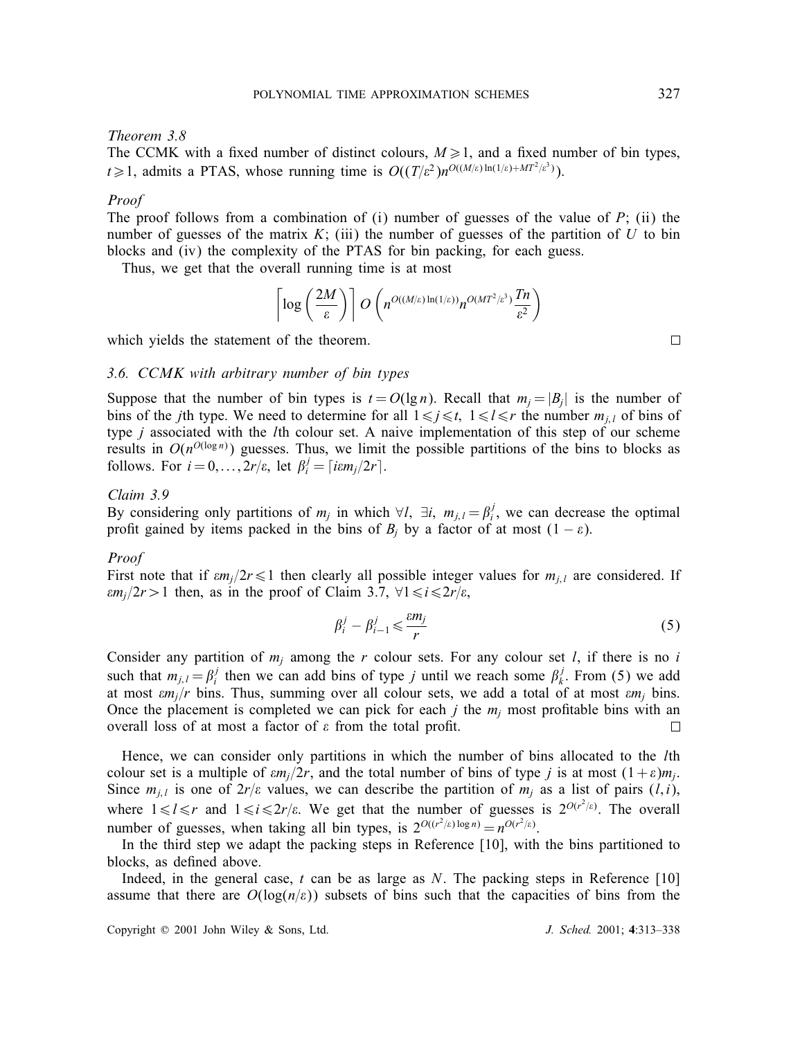*Theorem 3.8*

The CCMK with a fixed number of distinct colours,  $M \ge 1$ , and a fixed number of bin types,  $t \geq 1$ , admits a PTAS, whose running time is  $O((T/\varepsilon^2)n^{O((M/\varepsilon)\ln(1/\varepsilon)+MT^2/\varepsilon^3)})$ .

#### *Proof*

The proof follows from a combination of (i) number of guesses of the value of  $P$ ; (ii) the number of guesses of the matrix  $K$ ; (iii) the number of guesses of the partition of U to bin blocks and (iv) the complexity of the PTAS for bin packing, for each guess.

Thus, we get that the overall running time is at most

$$
\left\lceil \log\left(\frac{2M}{\varepsilon}\right)\right\rceil O\left(n^{O((M/\varepsilon)\ln(1/\varepsilon))}n^{O(MT^2/\varepsilon^3)}\frac{Tn}{\varepsilon^2}\right)
$$

which yields the statement of the theorem.

# *3.6. CCMKwith arbitrary number of bin types*

Suppose that the number of bin types is  $t = O(\lg n)$ . Recall that  $m_i = |B_i|$  is the number of bins of the *j*th type. We need to determine for all  $1 \le j \le t$ ,  $1 \le l \le r$  the number  $m_{i,l}$  of bins of type  $j$  associated with the *l*th colour set. A naive implementation of this step of our scheme results in  $O(n^{O(\log n)})$  guesses. Thus, we limit the possible partitions of the bins to blocks as follows. For  $i = 0, \ldots, 2r/\varepsilon$ , let  $\beta_i^j = \lceil i\varepsilon m_j/2r \rceil$ .

# *Claim 3.9*

By considering only partitions of  $m_j$  in which  $\forall l, \exists i, m_{j,l} = \beta_i^j$ , we can decrease the optimal profit gained by items packed in the bins of  $B_i$  by a factor of at most  $(1 - \varepsilon)$ .

# *Proof*

First note that if  $\epsilon m_j/2r \leq 1$  then clearly all possible integer values for  $m_{j,l}$  are considered. If  $\epsilon m_i/2r > 1$  then, as in the proof of Claim 3.7,  $\forall 1 \le i \le 2r/\epsilon$ ,

$$
\beta_i^j - \beta_{i-1}^j \leqslant \frac{\varepsilon m_j}{r} \tag{5}
$$

Consider any partition of  $m_i$  among the r colour sets. For any colour set l, if there is no i such that  $m_{j,l} = \beta_i^j$  then we can add bins of type j until we reach some  $\beta_k^j$ . From (5) we add at most  $em_i/r$  bins. Thus, summing over all colour sets, we add a total of at most  $em_i$  bins. Once the placement is completed we can pick for each j the  $m_i$  most profitable bins with an overall loss of at most a factor of  $\varepsilon$  from the total profit.  $\Box$ 

Hence, we can consider only partitions in which the number of bins allocated to the *l*th colour set is a multiple of  $\epsilon m_i/2r$ , and the total number of bins of type j is at most  $(1+\epsilon)m_i$ . Since  $m_{i,l}$  is one of  $2r/\varepsilon$  values, we can describe the partition of  $m_i$  as a list of pairs  $(l, i)$ , where  $1 \le l \le r$  and  $1 \le i \le 2r/\varepsilon$ . We get that the number of guesses is  $2^{O(r^2/\varepsilon)}$ . The overall number of guesses, when taking all bin types, is  $2^{O((r^2/\varepsilon)\log n)} = n^{O(r^2/\varepsilon)}$ .

In the third step we adapt the packing steps in Reference [10], with the bins partitioned to blocks, as defined above.

Indeed, in the general case, t can be as large as N. The packing steps in Reference  $[10]$ assume that there are  $O(log(n/\varepsilon))$  subsets of bins such that the capacities of bins from the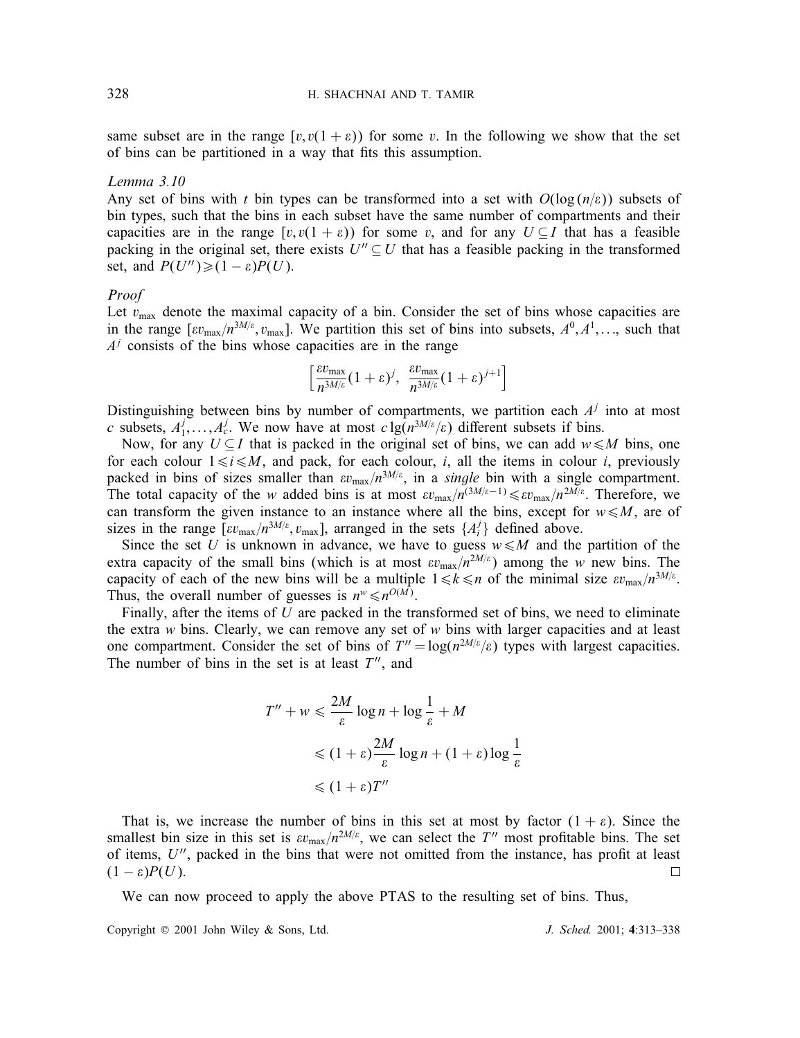same subset are in the range  $[v, v(1 + \varepsilon))$  for some v. In the following we show that the set of bins can be partitioned in a way that Fts this assumption.

#### *Lemma 3.10*

Any set of bins with t bin types can be transformed into a set with  $O(\log(n/\epsilon))$  subsets of bin types; such that the bins in each subset have the same number of compartments and their capacities are in the range  $[v, v(1 + \varepsilon))$  for some v, and for any  $U \subseteq I$  that has a feasible packing in the original set, there exists  $U'' \subseteq U$  that has a feasible packing in the transformed set, and  $P(U'') \geq (1 - \varepsilon)P(U)$ .

#### *Proof*

Let  $v_{\text{max}}$  denote the maximal capacity of a bin. Consider the set of bins whose capacities are in the range  $[\varepsilon v_{\text{max}}/n^{3M/\varepsilon}, v_{\text{max}}]$ . We partition this set of bins into subsets,  $A^0, A^1, \ldots$ , such that  $A<sup>j</sup>$  consists of the bins whose capacities are in the range

$$
\left[\frac{\varepsilon v_{\max}}{n^{3M/\varepsilon}}(1+\varepsilon)^j, \frac{\varepsilon v_{\max}}{n^{3M/\varepsilon}}(1+\varepsilon)^{j+1}\right]
$$

Distinguishing between bins by number of compartments, we partition each  $A<sup>j</sup>$  into at most c subsets,  $A_1^j, \ldots, A_c^j$ . We now have at most  $c \lg(n^{3M/\varepsilon}/\varepsilon)$  different subsets if bins.

Now, for any  $U \subseteq I$  that is packed in the original set of bins, we can add  $w \le M$  bins, one for each colour  $1 \le i \le M$ , and pack, for each colour, i, all the items in colour i, previously packed in bins of sizes smaller than  $\epsilon v_{\text{max}}/n^{3M/\epsilon}$ , in a *single* bin with a single compartment. The total capacity of the w added bins is at most  $\epsilon v_{\text{max}}/n^{(3M/\epsilon-1)} \leqslant \epsilon v_{\text{max}}/n^{2M/\epsilon}$ . Therefore, we can transform the given instance to an instance where all the bins, except for  $w \le M$ , are of sizes in the range  $\left[\varepsilon v_{\text{max}}/n^{3M/\varepsilon}, v_{\text{max}}\right]$ , arranged in the sets  $\{A_i^j\}$  defined above.

Since the set U is unknown in advance, we have to guess  $w \le M$  and the partition of the extra capacity of the small bins (which is at most  $\epsilon v_{\text{max}}/n^{2M/\epsilon}$ ) among the w new bins. The capacity of each of the new bins will be a multiple  $1 \le k \le n$  of the minimal size  $\epsilon v_{\text{max}}/n^{3M/\epsilon}$ . Thus, the overall number of guesses is  $n^w \le n^{O(M)}$ .

Finally, after the items of U are packed in the transformed set of bins, we need to eliminate the extra  $w$  bins. Clearly, we can remove any set of  $w$  bins with larger capacities and at least one compartment. Consider the set of bins of  $T'' = \log(n^{2M/\varepsilon}/\varepsilon)$  types with largest capacities. The number of bins in the set is at least  $T''$ , and

$$
T'' + w \le \frac{2M}{\varepsilon} \log n + \log \frac{1}{\varepsilon} + M
$$
  

$$
\le (1 + \varepsilon) \frac{2M}{\varepsilon} \log n + (1 + \varepsilon) \log \frac{1}{\varepsilon}
$$
  

$$
\le (1 + \varepsilon)T''
$$

That is, we increase the number of bins in this set at most by factor  $(1 + \varepsilon)$ . Since the smallest bin size in this set is  $\epsilon v_{\text{max}}/n^{2M/\epsilon}$ , we can select the T'' most profitable bins. The set of items,  $U''$ , packed in the bins that were not omitted from the instance, has profit at least  $(1 - \varepsilon)P(U)$ .  $\Box$ 

We can now proceed to apply the above PTAS to the resulting set of bins. Thus,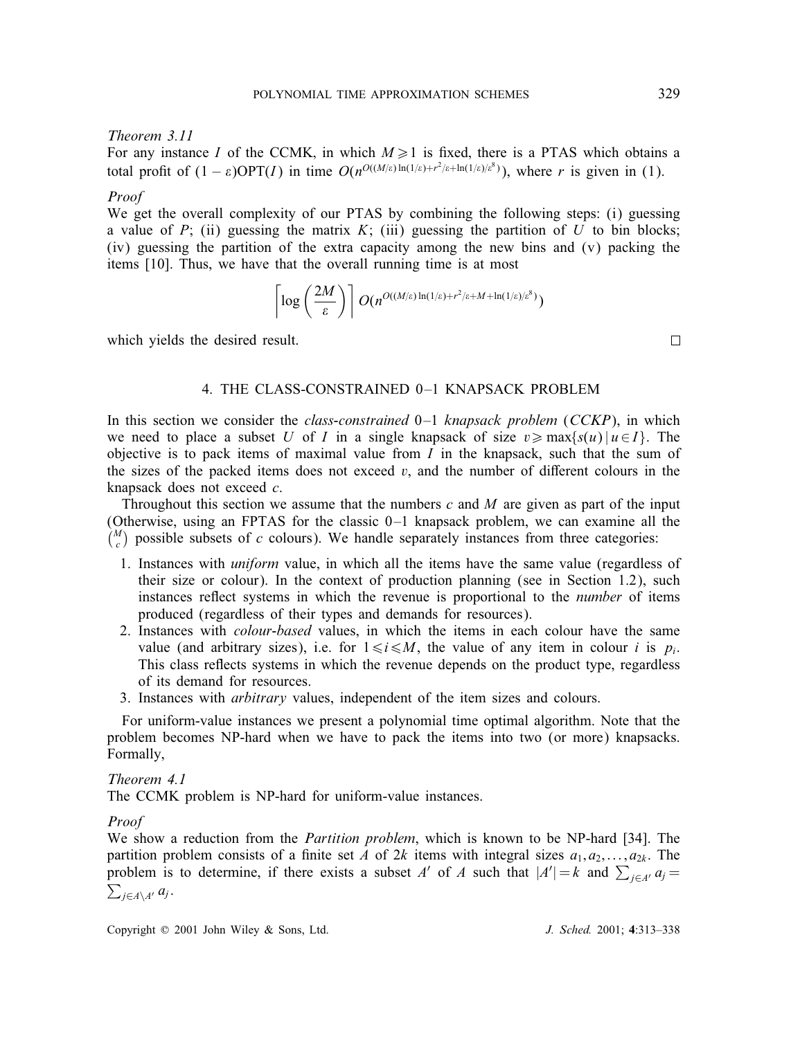*Theorem 3.11*

For any instance I of the CCMK, in which  $M \ge 1$  is fixed, there is a PTAS which obtains a total profit of  $(1 - \varepsilon) \text{OPT}(I)$  in time  $O(n^{O((M/\varepsilon) \ln(1/\varepsilon) + r^2/\varepsilon + \ln(1/\varepsilon)/\varepsilon^8}))$ , where r is given in (1).

# *Proof*

We get the overall complexity of our PTAS by combining the following steps: (i) guessing a value of P; (ii) guessing the matrix K; (iii) guessing the partition of U to bin blocks; (iv) guessing the partition of the extra capacity among the new bins and (v) packing the items [10]. Thus, we have that the overall running time is at most

$$
\left\lceil \log\left(\frac{2M}{\varepsilon}\right)\right\rceil O(n^{O((M/\varepsilon)\ln(1/\varepsilon)+r^2/\varepsilon+M+\ln(1/\varepsilon)/\varepsilon^8)})
$$

which yields the desired result.

# 4. THE CLASS-CONSTRAINED 0–1 KNAPSACK PROBLEM

In this section we consider the *class-constrained* 0–1 *knapsack problem* (*CCKP*), in which we need to place a subset U of I in a single knapsack of size  $v \ge \max\{s(u) | u \in I\}$ . The objective is to pack items of maximal value from  $I$  in the knapsack, such that the sum of the sizes of the packed items does not exceed v, and the number of different colours in the knapsack does not exceed c.

Throughout this section we assume that the numbers  $c$  and  $M$  are given as part of the input (Otherwise, using an FPTAS for the classic 0–1 knapsack problem, we can examine all the  $\binom{M}{c}$  possible subsets of c colours). We handle separately instances from three categories:

- 1. Instances with *uniform* value, in which all the items have the same value (regardless of their size or colour). In the context of production planning (see in Section 1.2), such instances reflect systems in which the revenue is proportional to the *number* of items produced (regardless of their types and demands for resources).
- 2. Instances with *colour-based* values, in which the items in each colour have the same value (and arbitrary sizes), i.e. for  $1 \le i \le M$ , the value of any item in colour i is  $p_i$ . This class reflects systems in which the revenue depends on the product type, regardless of its demand for resources.
- 3. Instances with *arbitrary* values, independent of the item sizes and colours.

For uniform-value instances we present a polynomial time optimal algorithm. Note that the problem becomes NP-hard when we have to pack the items into two (or more) knapsacks. Formally,

# *Theorem 4.1*

The CCMK problem is NP-hard for uniform-value instances.

#### *Proof*

We show a reduction from the *Partition problem*, which is known to be NP-hard [34]. The partition problem consists of a finite set A of 2k items with integral sizes  $a_1, a_2, \ldots, a_{2k}$ . The problem is to determine, if there exists a subset A' of A such that  $|A'| = k$  and  $\sum_{j \in A'} a_j = \sum_{i \in A \setminus A'} a_i$ .  $\sum_{i\in A\setminus A'} a_i$ .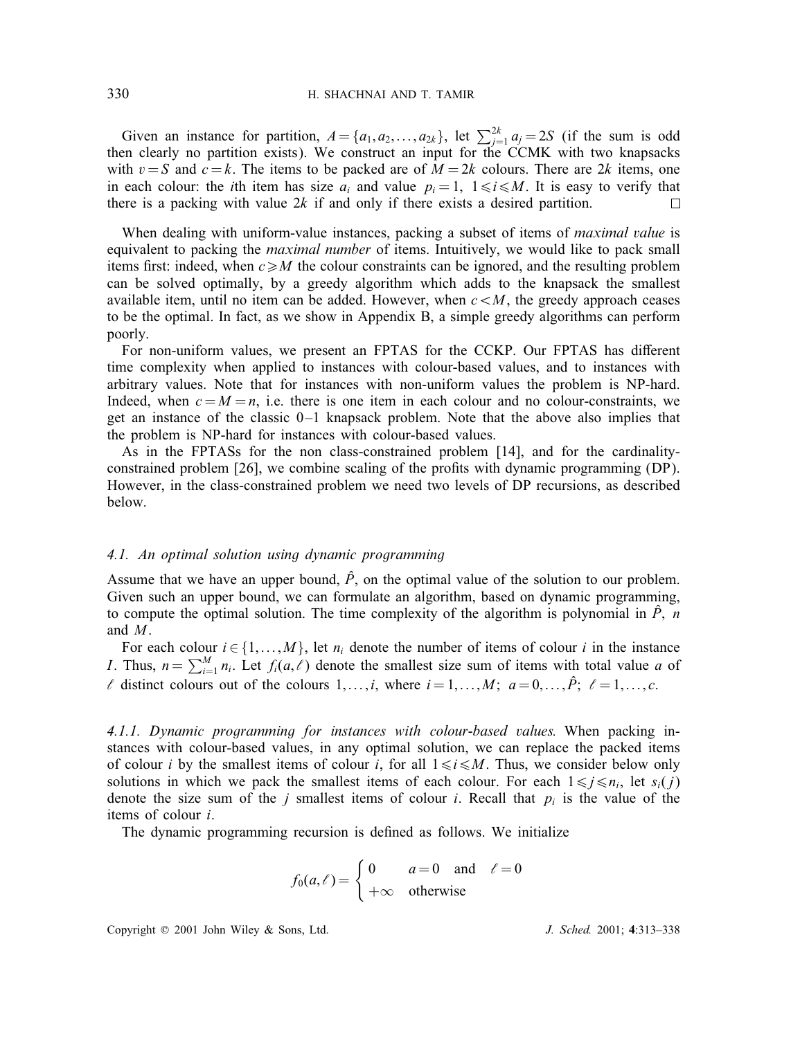#### 330 H. SHACHNAI AND T. TAMIR

Given an instance for partition,  $A = \{a_1, a_2, ..., a_{2k}\}\$ , let  $\sum_{j=1}^{2k} a_j = 2S$  (if the sum is odd then clearly no partition exists). We construct an input for the CCMK with two knapsacks with  $v = S$  and  $c = k$ . The items to be packed are of  $M = 2k$  colours. There are 2k items, one in each colour: the *i*th item has size  $a_i$  and value  $p_i = 1$ ,  $1 \le i \le M$ . It is easy to verify that there is a packing with value  $2k$  if and only if there exists a desired partition.  $\Box$ 

When dealing with uniform-value instances, packing a subset of items of *maximal value* is equivalent to packing the *maximal number* of items. Intuitively, we would like to pack small items first: indeed, when  $c \geq M$  the colour constraints can be ignored, and the resulting problem can be solved optimally, by a greedy algorithm which adds to the knapsack the smallest available item, until no item can be added. However, when  $c \lt M$ , the greedy approach ceases to be the optimal. In fact, as we show in Appendix B, a simple greedy algorithms can perform poorly.

For non-uniform values, we present an FPTAS for the CCKP. Our FPTAS has different time complexity when applied to instances with colour-based values, and to instances with arbitrary values. Note that for instances with non-uniform values the problem is NP-hard. Indeed, when  $c = M = n$ , i.e. there is one item in each colour and no colour-constraints, we get an instance of the classic 0–1 knapsack problem. Note that the above also implies that the problem is NP-hard for instances with colour-based values.

As in the FPTASs for the non class-constrained problem [14], and for the cardinalityconstrained problem  $[26]$ , we combine scaling of the profits with dynamic programming  $(DP)$ . However, in the class-constrained problem we need two levels of DP recursions, as described below.

#### *4.1. An optimal solution using dynamic programming*

Assume that we have an upper bound,  $\hat{P}$ , on the optimal value of the solution to our problem. Given such an upper bound, we can formulate an algorithm, based on dynamic programming, to compute the optimal solution. The time complexity of the algorithm is polynomial in  $\hat{P}$ , n and M.

For each colour  $i \in \{1, \ldots, M\}$ , let  $n_i$  denote the number of items of colour i in the instance *I*. Thus,  $n = \sum_{i=1}^{M} n_i$ . Let  $f_i(a, \ell)$  denote the smallest size sum of items with total value a of  $\ell$  distinct colours out of the colours 1,..., *i*, where  $i = 1,...,M$ ;  $a = 0,..., \hat{P}$ ;  $\ell = 1,...,c$ .

*4.1.1. Dynamic programming for instances with colour-based values.* When packing instances with colour-based values, in any optimal solution, we can replace the packed items of colour *i* by the smallest items of colour *i*, for all  $1 \le i \le M$ . Thus, we consider below only solutions in which we pack the smallest items of each colour. For each  $1 \leq j \leq n_i$ , let  $s_i(j)$ denote the size sum of the j smallest items of colour i. Recall that  $p_i$  is the value of the items of colour i.

The dynamic programming recursion is defined as follows. We initialize

$$
f_0(a,\ell) = \begin{cases} 0 & a = 0 \text{ and } \ell = 0\\ +\infty & \text{otherwise} \end{cases}
$$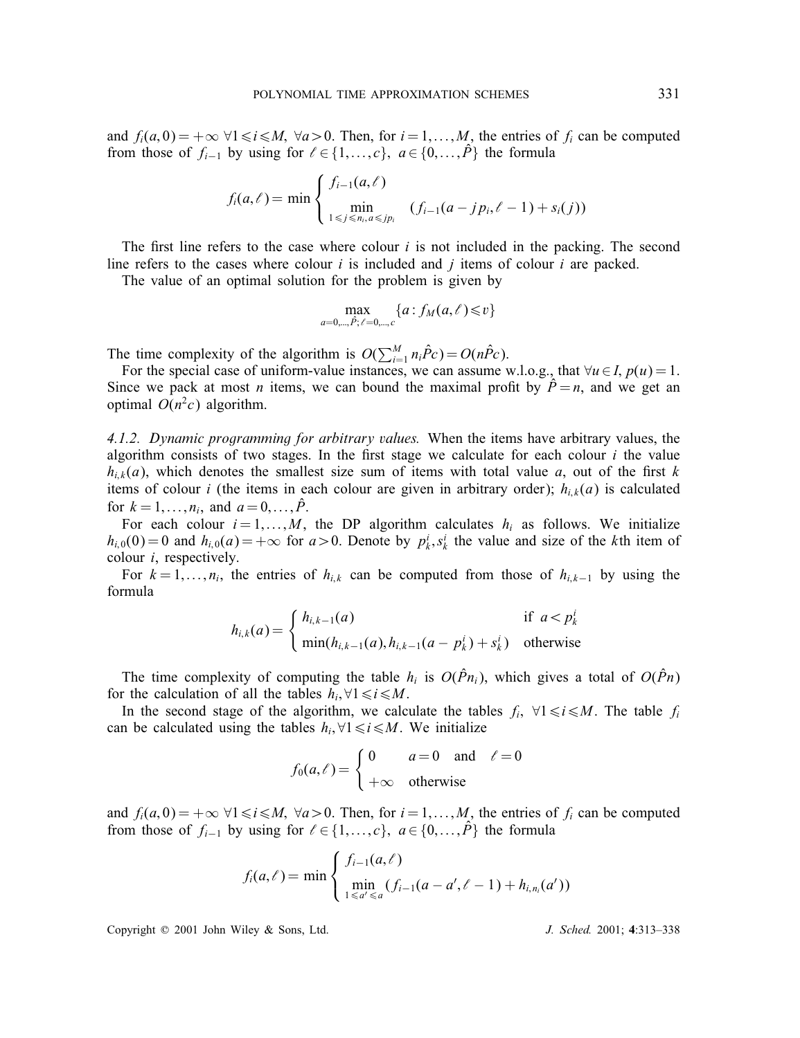and  $f_i(a, 0) = +\infty \forall 1 \le i \le M$ ,  $\forall a > 0$ . Then, for  $i = 1, \ldots, M$ , the entries of  $f_i$  can be computed from those of  $f_{i-1}$  by using for  $\ell \in \{1,\ldots,c\}$ ,  $a \in \{0,\ldots,\hat{P}\}$  the formula

$$
f_i(a,\ell) = \min \begin{cases} f_{i-1}(a,\ell) \\ \min_{1 \leq j \leq n_i, a \leq j p_i} & (f_{i-1}(a-jp_i,\ell-1) + s_i(j)) \end{cases}
$$

The first line refers to the case where colour  $i$  is not included in the packing. The second line refers to the cases where colour  $i$  is included and  $j$  items of colour  $i$  are packed.

The value of an optimal solution for the problem is given by

$$
\max_{a=0,\dots,\hat{P};\ell=0,\dots,c} \{a : f_M(a,\ell) \leq v\}
$$

The time complexity of the algorithm is  $O(\sum_{i=1}^{M} n_i \hat{P}c) = O(n\hat{P}c)$ .

For the special case of uniform-value instances, we can assume w.l.o.g., that  $\forall u \in I, p(u) = 1$ . Since we pack at most *n* items, we can bound the maximal profit by  $\tilde{P} = n$ , and we get an optimal  $O(n^2c)$  algorithm.

*4.1.2. Dynamic programming for arbitrary values.* When the items have arbitrary values, the algorithm consists of two stages. In the first stage we calculate for each colour  $i$  the value  $h_{i,k}(a)$ , which denotes the smallest size sum of items with total value a, out of the first k items of colour *i* (the items in each colour are given in arbitrary order);  $h_{i,k}(a)$  is calculated for  $k = 1, ..., n_i$ , and  $a = 0, ..., \hat{P}$ .

For each colour  $i = 1,...,M$ , the DP algorithm calculates  $h_i$  as follows. We initialize  $h_{i,0}(0) = 0$  and  $h_{i,0}(a) = +\infty$  for  $a > 0$ . Denote by  $p_k^i$ ,  $s_k^i$  the value and size of the kth item of colour i, respectively.

For  $k = 1, \ldots, n_i$ , the entries of  $h_{i,k}$  can be computed from those of  $h_{i,k-1}$  by using the formula

$$
h_{i,k}(a) = \begin{cases} h_{i,k-1}(a) & \text{if } a < p_k^i \\ \min(h_{i,k-1}(a), h_{i,k-1}(a - p_k^i) + s_k^i) & \text{otherwise} \end{cases}
$$

The time complexity of computing the table  $h_i$  is  $O(\hat{P}n_i)$ , which gives a total of  $O(\hat{P}n)$ for the calculation of all the tables  $h_i$ ,  $\forall 1 \le i \le M$ .

In the second stage of the algorithm, we calculate the tables  $f_i$ ,  $\forall 1 \leq i \leq M$ . The table  $f_i$ can be calculated using the tables  $h_i$ ,  $\forall 1 \leq i \leq M$ . We initialize

$$
f_0(a,\ell) = \begin{cases} 0 & a = 0 \text{ and } \ell = 0\\ +\infty & \text{otherwise} \end{cases}
$$

and  $f_i(a, 0) = +\infty \forall 1 \le i \le M$ ,  $\forall a > 0$ . Then, for  $i = 1, \ldots, M$ , the entries of  $f_i$  can be computed from those of  $f_{i-1}$  by using for  $\ell \in \{1,\ldots,c\}$ ,  $a \in \{0,\ldots,\hat{P}\}\$  the formula

$$
f_i(a,\ell) = \min \left\{ \min_{1 \leq a' \leq a} \left( f_{i-1}(a-a',\ell-1) + h_{i,n_i}(a') \right) \right\}
$$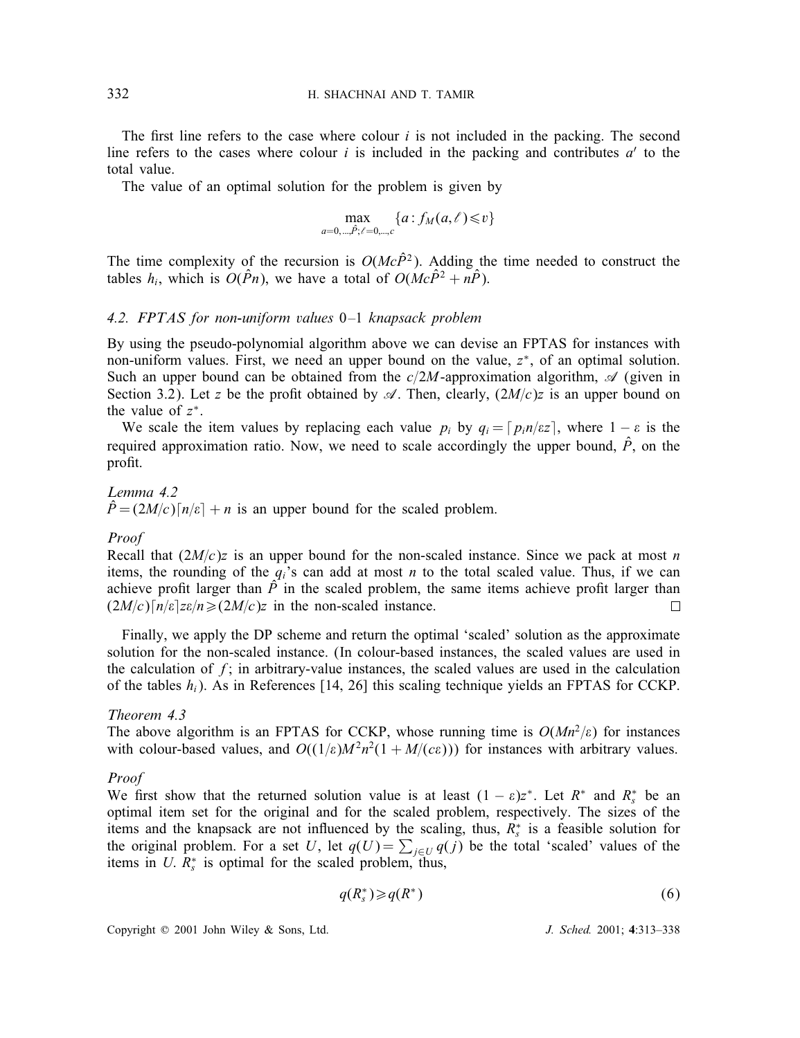The first line refers to the case where colour  $i$  is not included in the packing. The second line refers to the cases where colour i is included in the packing and contributes  $a'$  to the total value.

The value of an optimal solution for the problem is given by

$$
\max_{a=0,\dots,\hat{P};\ell=0,\dots,c} \{a: f_M(a,\ell) \leq v\}
$$

The time complexity of the recursion is  $O(Mc\hat{P}^2)$ . Adding the time needed to construct the tables  $h_i$ , which is  $O(\hat{P}_i n)$ , we have a total of  $O(Mc\hat{P}^2 + n\hat{P})$ .

# *4.2. FPTAS for non-uniform values* 0*–*1 *knapsack problem*

By using the pseudo-polynomial algorithm above we can devise an FPTAS for instances with non-uniform values. First, we need an upper bound on the value, z∗, of an optimal solution. Such an upper bound can be obtained from the  $c/2M$ -approximation algorithm,  $\mathscr A$  (given in Section 3.2). Let z be the profit obtained by  $\mathscr A$ . Then, clearly,  $(2M/c)z$  is an upper bound on the value of  $z^*$ .

We scale the item values by replacing each value  $p_i$  by  $q_i = [p_i n/\varepsilon z]$ , where  $1 - \varepsilon$  is the required approximation ratio. Now, we need to scale accordingly the upper bound,  $\hat{P}$ , on the profit.

# *Lemma 4.2*  $\hat{P} = (2M/c)[n/\varepsilon] + n$  is an upper bound for the scaled problem.

### *Proof*

Recall that  $(2M/c)z$  is an upper bound for the non-scaled instance. Since we pack at most n items, the rounding of the  $q_i$ 's can add at most n to the total scaled value. Thus, if we can achieve profit larger than  $\hat{P}$  in the scaled problem, the same items achieve profit larger than  $(2M/c)\lceil n/\varepsilon \rceil z\varepsilon/n \geq (2M/c)z$  in the non-scaled instance.  $\Box$ 

Finally, we apply the DP scheme and return the optimal 'scaled' solution as the approximate solution for the non-scaled instance. (In colour-based instances, the scaled values are used in the calculation of  $f$ ; in arbitrary-value instances, the scaled values are used in the calculation of the tables  $h_i$ ). As in References [14, 26] this scaling technique yields an FPTAS for CCKP.

#### *Theorem 4.3*

The above algorithm is an FPTAS for CCKP, whose running time is  $O(Mn^2/\varepsilon)$  for instances with colour-based values, and  $O((1/\varepsilon)M^2n^2(1 + M/(\varepsilon \varepsilon)))$  for instances with arbitrary values.

### *Proof*

We first show that the returned solution value is at least  $(1 - \varepsilon)z^*$ . Let  $R^*$  and  $R_s^*$  be an optimal item set for the original and for the scaled problem, respectively. The sizes of the items and the knapsack are not influenced by the scaling, thus,  $R_s^*$  is a feasible solution for the original problem. For a set U, let  $q(U) = \sum_{j \in U} q(j)$  be the total 'scaled' values of the items in  $U. R^*_{s}$  is optimal for the scaled problem, thus,

$$
q(R_s^*) \geqslant q(R^*)\tag{6}
$$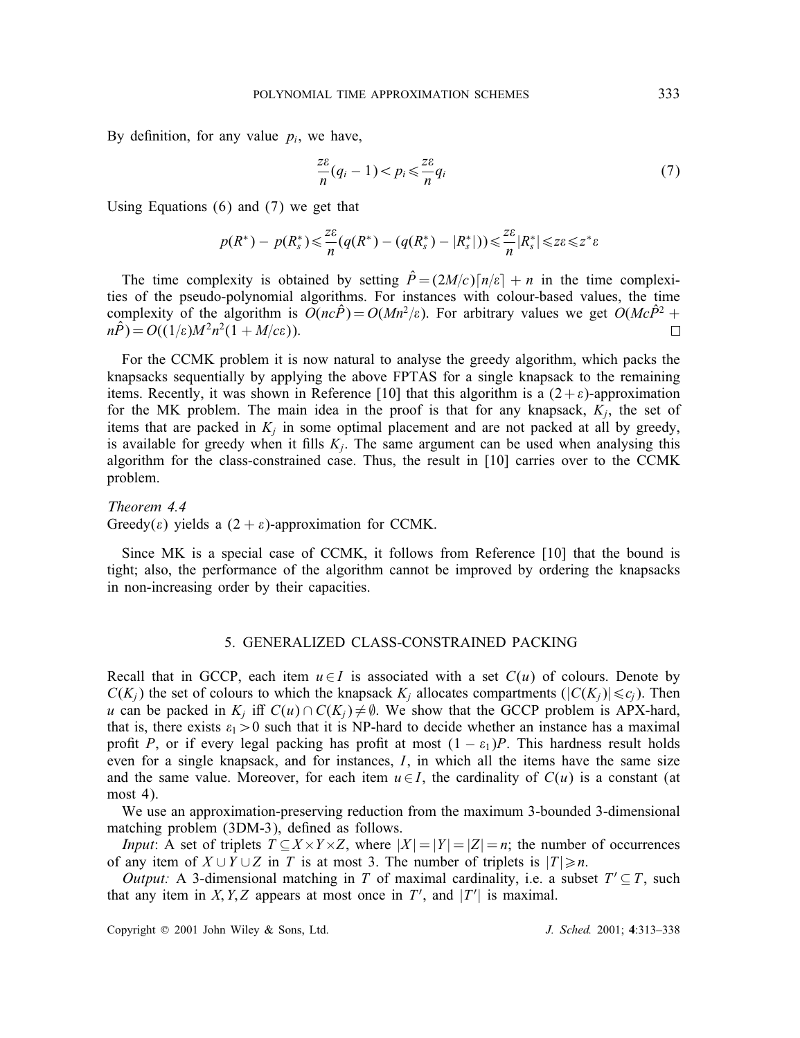By definition, for any value  $p_i$ , we have,

$$
\frac{z\epsilon}{n}(q_i-1) < p_i \leq \frac{z\epsilon}{n}q_i \tag{7}
$$

Using Equations (6) and (7) we get that

$$
p(R^*)-p(R_s^*)\leqslant \frac{ze}{n}(q(R^*)-(q(R_s^*)-|R_s^*|))\leqslant \frac{ze}{n}|R_s^*|\leqslant ze\leqslant z^*\varepsilon
$$

The time complexity is obtained by setting  $\hat{P} = (2M/c)[n/\varepsilon] + n$  in the time complexities of the pseudo-polynomial algorithms. For instances with colour-based values, the time complexity of the algorithm is  $O(nc\hat{P}) = O(Mn^2/\epsilon)$ . For arbitrary values we get  $O(Mc\hat{P}^2 +$  $n\hat{P}$ ) =  $O((1/\varepsilon)M^2n^2(1+M/c\varepsilon)).$  $\Box$ 

For the CCMK problem it is now natural to analyse the greedy algorithm, which packs the knapsacks sequentially by applying the above FPTAS for a single knapsack to the remaining items. Recently, it was shown in Reference [10] that this algorithm is a  $(2+\varepsilon)$ -approximation for the MK problem. The main idea in the proof is that for any knapsack,  $K_i$ , the set of items that are packed in  $K_i$  in some optimal placement and are not packed at all by greedy, is available for greedy when it fills  $K_i$ . The same argument can be used when analysing this algorithm for the class-constrained case. Thus, the result in [10] carries over to the CCMK problem.

*Theorem 4.4* Greedy( $\varepsilon$ ) yields a (2 +  $\varepsilon$ )-approximation for CCMK.

Since MK is a special case of CCMK, it follows from Reference [10] that the bound is tight; also, the performance of the algorithm cannot be improved by ordering the knapsacks in non-increasing order by their capacities.

# 5. GENERALIZED CLASS-CONSTRAINED PACKING

Recall that in GCCP, each item  $u \in I$  is associated with a set  $C(u)$  of colours. Denote by  $C(K_i)$  the set of colours to which the knapsack  $K_i$  allocates compartments  $(|C(K_i)| \leq c_i)$ . Then u can be packed in  $K_i$  iff  $C(u) \cap C(K_i) \neq \emptyset$ . We show that the GCCP problem is APX-hard, that is, there exists  $\varepsilon_1 > 0$  such that it is NP-hard to decide whether an instance has a maximal profit P, or if every legal packing has profit at most  $(1 - \varepsilon_1)P$ . This hardness result holds even for a single knapsack, and for instances,  $I$ , in which all the items have the same size and the same value. Moreover, for each item  $u \in I$ , the cardinality of  $C(u)$  is a constant (at most 4).

We use an approximation-preserving reduction from the maximum 3-bounded 3-dimensional matching problem (3DM-3), defined as follows.

*Input*: A set of triplets  $T \subseteq X \times Y \times Z$ , where  $|X| = |Y| = |Z| = n$ ; the number of occurrences of any item of  $X \cup Y \cup Z$  in T is at most 3. The number of triplets is  $|T| \ge n$ .

*Output:* A 3-dimensional matching in T of maximal cardinality, i.e. a subset  $T' \subseteq T$ , such that any item in X, Y, Z appears at most once in  $T'$ , and  $|T'|$  is maximal.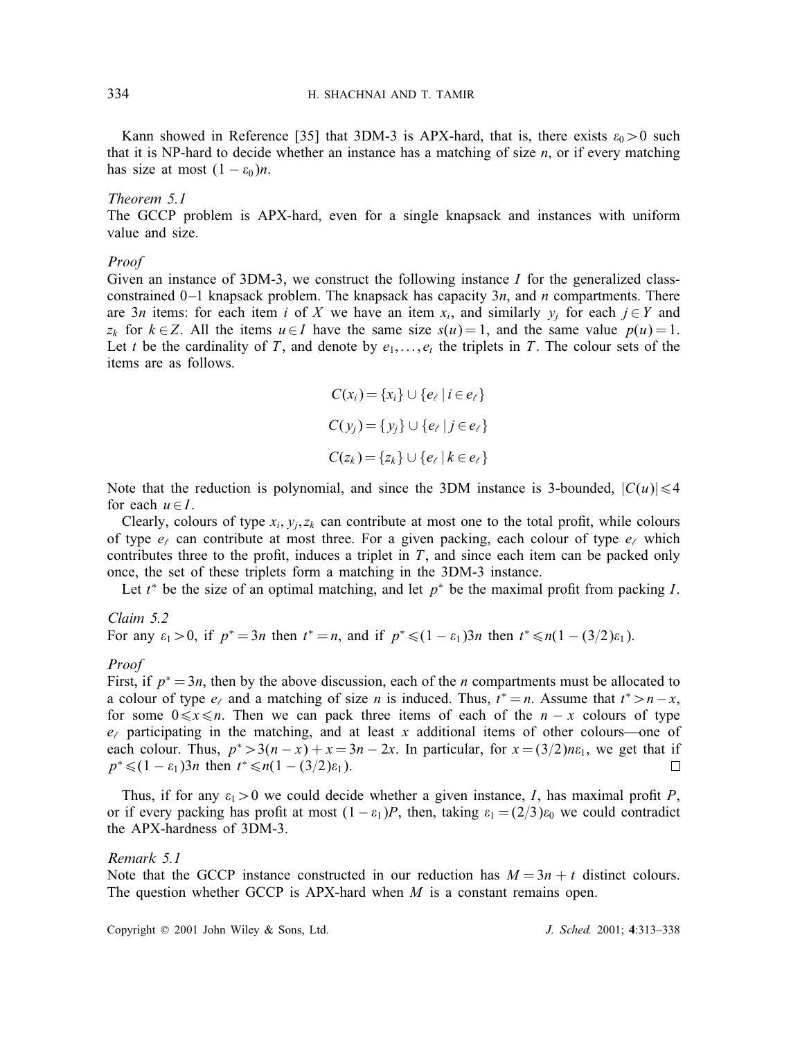Kann showed in Reference [35] that 3DM-3 is APX-hard, that is, there exists  $\varepsilon_0 > 0$  such that it is NP-hard to decide whether an instance has a matching of size  $n$ , or if every matching has size at most  $(1 - \varepsilon_0)n$ .

# *Theorem 5.1*

The GCCP problem is APX-hard, even for a single knapsack and instances with uniform value and size.

# *Proof*

Given an instance of  $3DM-3$ , we construct the following instance I for the generalized classconstrained 0–1 knapsack problem. The knapsack has capacity  $3n$ , and n compartments. There are 3n items: for each item i of X we have an item  $x_i$ , and similarly  $y_i$  for each  $j \in Y$  and  $z_k$  for  $k \in \mathbb{Z}$ . All the items  $u \in I$  have the same size  $s(u) = 1$ , and the same value  $p(u) = 1$ . Let t be the cardinality of T, and denote by  $e_1, \ldots, e_t$  the triplets in T. The colour sets of the items are as follows.

$$
C(x_i) = \{x_i\} \cup \{e_{\ell} | i \in e_{\ell}\}\
$$

$$
C(y_j) = \{y_j\} \cup \{e_{\ell} | j \in e_{\ell}\}\
$$

$$
C(z_k) = \{z_k\} \cup \{e_{\ell} | k \in e_{\ell}\}\
$$

Note that the reduction is polynomial, and since the 3DM instance is 3-bounded,  $|C(u)| \leq 4$ for each  $u \in I$ .

Clearly, colours of type  $x_i$ ,  $y_i$ ,  $z_k$  can contribute at most one to the total profit, while colours of type  $e_i$  can contribute at most three. For a given packing, each colour of type  $e_i$  which contributes three to the profit, induces a triplet in  $T$ , and since each item can be packed only once, the set of these triplets form a matching in the 3DM-3 instance.

Let  $t^*$  be the size of an optimal matching, and let  $p^*$  be the maximal profit from packing I.

# *Claim 5.2*

For any  $\varepsilon_1 > 0$ , if  $p^* = 3n$  then  $t^* = n$ , and if  $p^* \leq (1 - \varepsilon_1)3n$  then  $t^* \leq n(1 - (3/2)\varepsilon_1)$ .

#### *Proof*

First, if  $p^* = 3n$ , then by the above discussion, each of the *n* compartments must be allocated to a colour of type  $e_{\ell}$  and a matching of size *n* is induced. Thus,  $t^* = n$ . Assume that  $t^* > n - x$ , for some  $0 \le x \le n$ . Then we can pack three items of each of the  $n - x$  colours of type  $e<sub>i</sub>$  participating in the matching, and at least x additional items of other colours—one of each colour. Thus,  $p^* > 3(n - x) + x = 3n - 2x$ . In particular, for  $x = (3/2)n\epsilon_1$ , we get that if  $p^* \leq (1 - \varepsilon_1)3n$  then  $t^* \leq n(1 - (3/2)\varepsilon_1)$ .  $\Box$ 

Thus, if for any  $\varepsilon_1 > 0$  we could decide whether a given instance, I, has maximal profit P, or if every packing has profit at most  $(1 - \varepsilon_1)P$ , then, taking  $\varepsilon_1 = (2/3)\varepsilon_0$  we could contradict the APX-hardness of 3DM-3.

# *Remark 5.1*

Note that the GCCP instance constructed in our reduction has  $M = 3n + t$  distinct colours. The question whether GCCP is APX-hard when  $M$  is a constant remains open.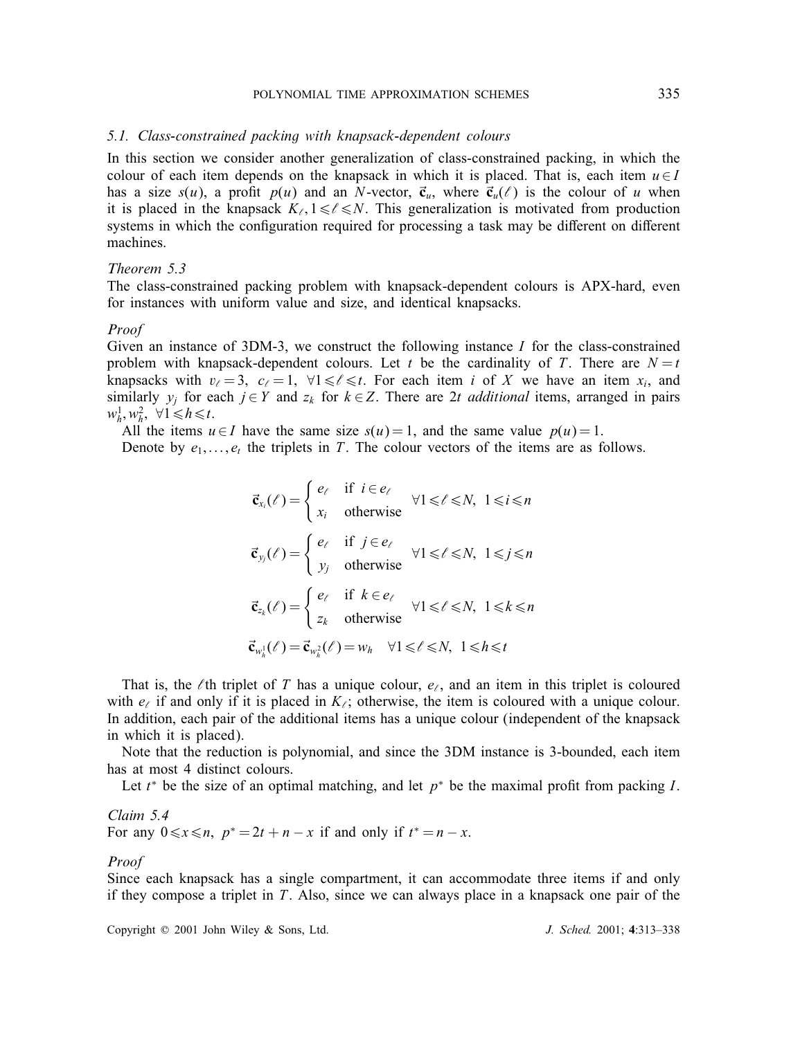# *5.1. Class-constrained packing with knapsack-dependent colours*

In this section we consider another generalization of class-constrained packing, in which the colour of each item depends on the knapsack in which it is placed. That is, each item  $u \in I$ has a size  $s(u)$ , a profit  $p(u)$  and an N-vector,  $\vec{c}_u$ , where  $\vec{c}_u(\ell)$  is the colour of u when it is placed in the knapsack  $K_{\ell}$ ,  $1 \leq \ell \leq N$ . This generalization is motivated from production systems in which the configuration required for processing a task may be different on different machines.

# *Theorem 5.3*

The class-constrained packing problem with knapsack-dependent colours is APX-hard, even for instances with uniform value and size, and identical knapsacks.

#### *Proof*

Given an instance of 3DM-3, we construct the following instance  $I$  for the class-constrained problem with knapsack-dependent colours. Let t be the cardinality of T. There are  $N = t$ knapsacks with  $v_{\ell} = 3$ ,  $c_{\ell} = 1$ ,  $\forall 1 \leq \ell \leq t$ . For each item i of X we have an item  $x_i$ , and similarly  $y_i$  for each  $j \in Y$  and  $z_k$  for  $k \in Z$ . There are 2t *additional* items, arranged in pairs  $w_h^1, w_h^2, \forall 1 \leq h \leq t.$ 

All the items  $u \in I$  have the same size  $s(u) = 1$ , and the same value  $p(u) = 1$ .

Denote by  $e_1, \ldots, e_t$  the triplets in T. The colour vectors of the items are as follows.

$$
\vec{\mathbf{c}}_{x_i}(\ell) = \begin{cases} e_{\ell} & \text{if } i \in e_{\ell} \\ x_i & \text{otherwise} \end{cases} \quad \forall 1 \leq \ell \leq N, \ 1 \leq i \leq n
$$
\n
$$
\vec{\mathbf{c}}_{y_j}(\ell) = \begin{cases} e_{\ell} & \text{if } j \in e_{\ell} \\ y_j & \text{otherwise} \end{cases} \quad \forall 1 \leq \ell \leq N, \ 1 \leq j \leq n
$$
\n
$$
\vec{\mathbf{c}}_{z_k}(\ell) = \begin{cases} e_{\ell} & \text{if } k \in e_{\ell} \\ z_k & \text{otherwise} \end{cases} \quad \forall 1 \leq \ell \leq N, \ 1 \leq k \leq n
$$
\n
$$
\vec{\mathbf{c}}_{w_n^1}(\ell) = \vec{\mathbf{c}}_{w_n^2}(\ell) = w_h \quad \forall 1 \leq \ell \leq N, \ 1 \leq h \leq t
$$

That is, the  $\ell$ th triplet of T has a unique colour,  $e_{\ell}$ , and an item in this triplet is coloured with  $e_i$  if and only if it is placed in  $K_i$ ; otherwise, the item is coloured with a unique colour. In addition, each pair of the additional items has a unique colour (independent of the knapsack in which it is placed).

Note that the reduction is polynomial, and since the 3DM instance is 3-bounded, each item has at most 4 distinct colours.

Let  $t^*$  be the size of an optimal matching, and let  $p^*$  be the maximal profit from packing I.

# *Claim 5.4*

For any  $0 \le x \le n$ ,  $p^* = 2t + n - x$  if and only if  $t^* = n - x$ .

#### *Proof*

Since each knapsack has a single compartment, it can accommodate three items if and only if they compose a triplet in  $T$ . Also, since we can always place in a knapsack one pair of the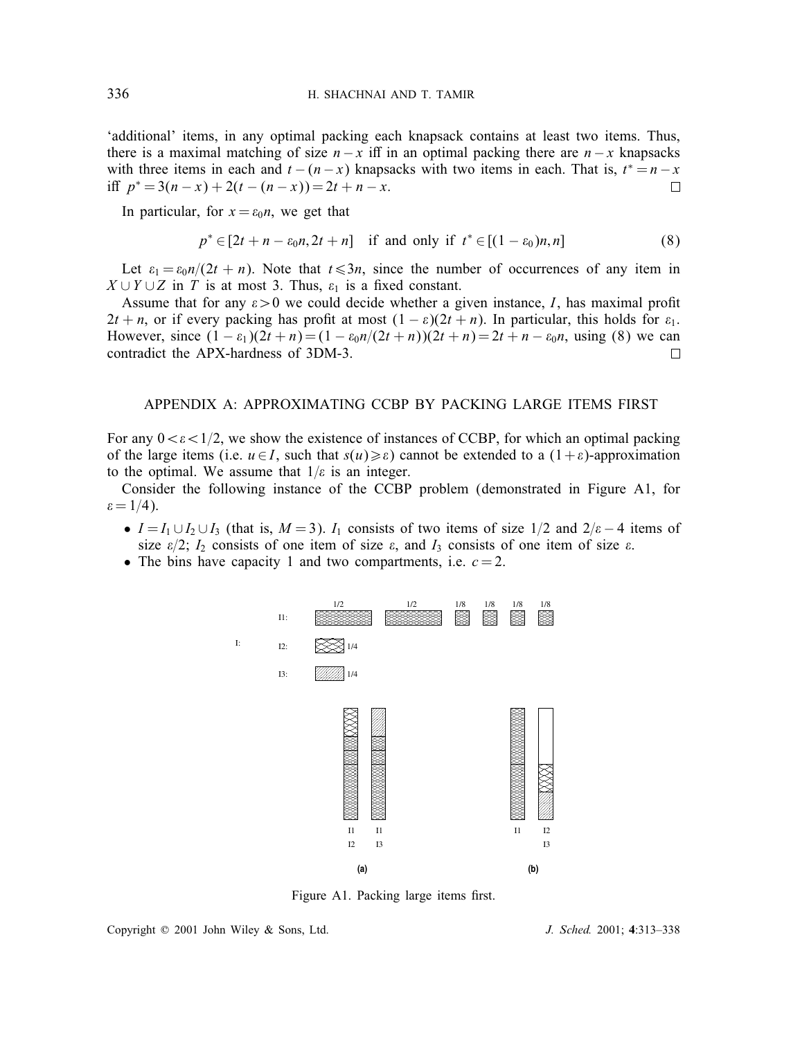'additional' items, in any optimal packing each knapsack contains at least two items. Thus, there is a maximal matching of size  $n - x$  iff in an optimal packing there are  $n - x$  knapsacks with three items in each and  $t - (n - x)$  knapsacks with two items in each. That is,  $t^* = n - x$ iff  $p^* = 3(n - x) + 2(t - (n - x)) = 2t + n - x$ .  $\Box$ 

In particular, for  $x = \varepsilon_0 n$ , we get that

$$
p^* \in [2t + n - \varepsilon_0 n, 2t + n] \quad \text{if and only if} \quad t^* \in [(1 - \varepsilon_0)n, n] \tag{8}
$$

Let  $\varepsilon_1 = \varepsilon_0 n/(2t + n)$ . Note that  $t \leq 3n$ , since the number of occurrences of any item in  $X \cup Y \cup Z$  in T is at most 3. Thus,  $\varepsilon_1$  is a fixed constant.

Assume that for any  $\varepsilon > 0$  we could decide whether a given instance, I, has maximal profit  $2t + n$ , or if every packing has profit at most  $(1 - \varepsilon)(2t + n)$ . In particular, this holds for  $\varepsilon_1$ . However, since  $(1 - \varepsilon_1)(2t + n) = (1 - \varepsilon_0 n/(2t + n))(2t + n) = 2t + n - \varepsilon_0 n$ , using (8) we can contradict the APX-hardness of 3DM-3.  $\Box$ 

### APPENDIX A: APPROXIMATING CCBP BY PACKING LARGE ITEMS FIRST

For any  $0 < \epsilon < 1/2$ , we show the existence of instances of CCBP, for which an optimal packing of the large items (i.e.  $u \in I$ , such that  $s(u) \geq \varepsilon$ ) cannot be extended to a  $(1+\varepsilon)$ -approximation to the optimal. We assume that  $1/\varepsilon$  is an integer.

Consider the following instance of the CCBP problem (demonstrated in Figure A1, for  $\varepsilon = 1/4$ ).

- $I = I_1 \cup I_2 \cup I_3$  (that is,  $M = 3$ ).  $I_1$  consists of two items of size  $1/2$  and  $2/\varepsilon 4$  items of size  $\varepsilon/2$ ;  $I_2$  consists of one item of size  $\varepsilon$ , and  $I_3$  consists of one item of size  $\varepsilon$ .
- The bins have capacity 1 and two compartments, i.e.  $c = 2$ .



Figure A1. Packing large items first.

Copyright ? 2001 John Wiley & Sons, Ltd. *J. Sched.* 2001; **4**:313–338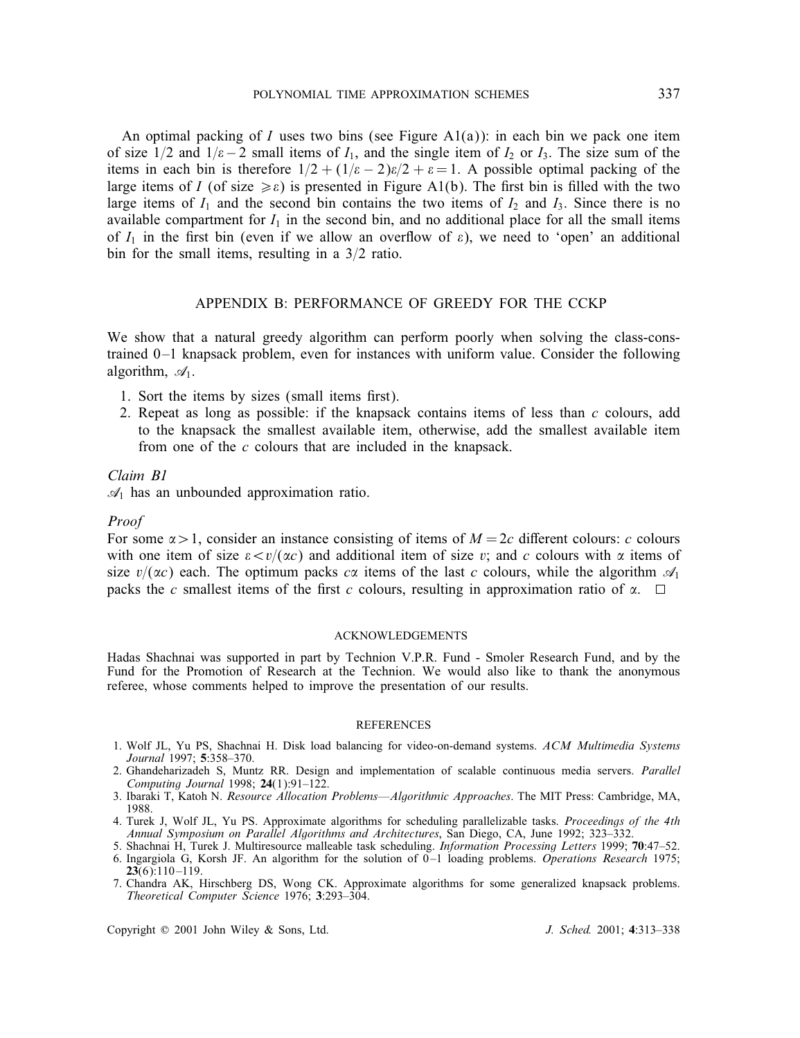An optimal packing of I uses two bins (see Figure  $A1(a)$ ): in each bin we pack one item of size  $1/2$  and  $1/e - 2$  small items of  $I_1$ , and the single item of  $I_2$  or  $I_3$ . The size sum of the items in each bin is therefore  $1/2 + (1/\varepsilon - 2)\varepsilon/2 + \varepsilon = 1$ . A possible optimal packing of the large items of I (of size  $\geq \varepsilon$ ) is presented in Figure A1(b). The first bin is filled with the two large items of  $I_1$  and the second bin contains the two items of  $I_2$  and  $I_3$ . Since there is no available compartment for  $I_1$  in the second bin, and no additional place for all the small items of  $I_1$  in the first bin (even if we allow an overflow of  $\varepsilon$ ), we need to 'open' an additional bin for the small items, resulting in a  $3/2$  ratio.

# APPENDIX B: PERFORMANCE OF GREEDY FOR THE CCKP

We show that a natural greedy algorithm can perform poorly when solving the class-constrained 0–1 knapsack problem, even for instances with uniform value. Consider the following algorithm,  $\mathcal{A}_1$ .

- 1. Sort the items by sizes (small items Frst).
- 2. Repeat as long as possible: if the knapsack contains items of less than  $c$  colours, add to the knapsack the smallest available item, otherwise, add the smallest available item from one of the  $c$  colours that are included in the knapsack.

#### *Claim B1*

 $\mathcal{A}_1$  has an unbounded approximation ratio.

#### *Proof*

For some  $\alpha > 1$ , consider an instance consisting of items of  $M = 2c$  different colours: c colours with one item of size  $\varepsilon < v/(\alpha c)$  and additional item of size v; and c colours with  $\alpha$  items of size  $v/(\alpha c)$  each. The optimum packs c $\alpha$  items of the last c colours, while the algorithm  $\mathcal{A}_1$ packs the c smallest items of the first c colours, resulting in approximation ratio of  $\alpha$ .  $\Box$ 

#### ACKNOWLEDGEMENTS

Hadas Shachnai was supported in part by Technion V.P.R. Fund - Smoler Research Fund, and by the Fund for the Promotion of Research at the Technion. We would also like to thank the anonymous referee, whose comments helped to improve the presentation of our results.

#### **REFERENCES**

- 1. Wolf JL, Yu PS, Shachnai H. Disk load balancing for video-on-demand systems. *ACM Multimedia Systems Journal* 1997; **5**:358–370.
- 2. Ghandeharizadeh S, Muntz RR. Design and implementation of scalable continuous media servers. *Parallel Computing Journal* 1998; **24**(1):91–122.
- 3. Ibaraki T, Katoh N. *Resource Allocation Problems—Algorithmic Approaches*. The MIT Press: Cambridge, MA, 1988.
- 4. Turek J, Wolf JL, Yu PS. Approximate algorithms for scheduling parallelizable tasks. *Proceedings of the 4th Annual Symposium on Parallel Algorithms and Architectures*, San Diego, CA, June 1992; 323–332.
- 5. Shachnai H, Turek J. Multiresource malleable task scheduling. *Information Processing Letters* 1999; **70**:47–52.
- 6. Ingargiola G, Korsh JF. An algorithm for the solution of 0 –1 loading problems. *Operations Research* 1975; **23**(6):110 –119.
- 7. Chandra AK, Hirschberg DS, Wong CK. Approximate algorithms for some generalized knapsack problems. *Theoretical Computer Science* 1976; **3**:293–304.